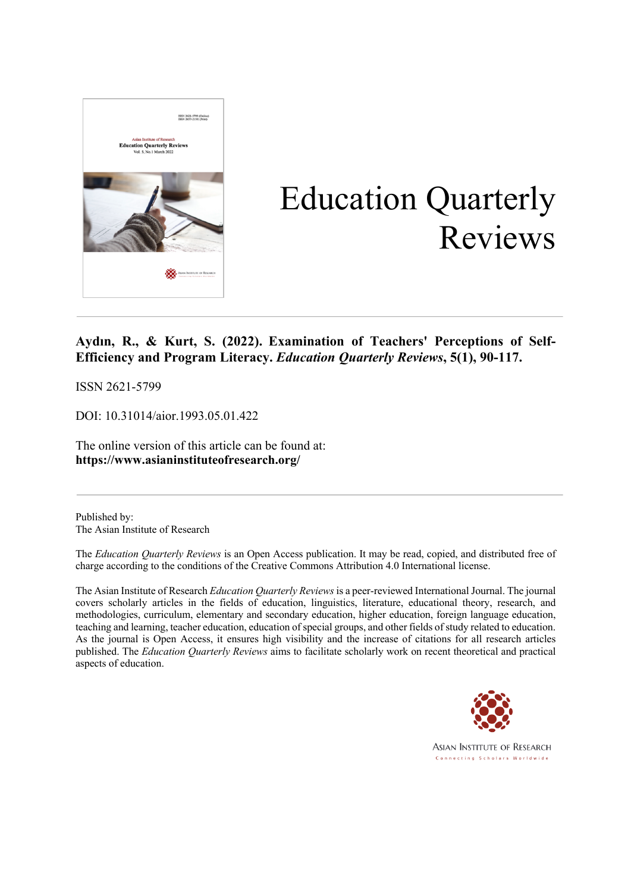

# Education Quarterly Reviews

# **Aydın, R., & Kurt, S. (2022). Examination of Teachers' Perceptions of Self-Efficiency and Program Literacy.** *Education Quarterly Reviews***, 5(1), 90-117.**

ISSN 2621-5799

DOI: 10.31014/aior.1993.05.01.422

The online version of this article can be found at: **https://www.asianinstituteofresearch.org/**

Published by: The Asian Institute of Research

The *Education Quarterly Reviews* is an Open Access publication. It may be read, copied, and distributed free of charge according to the conditions of the Creative Commons Attribution 4.0 International license.

The Asian Institute of Research *Education Quarterly Reviews* is a peer-reviewed International Journal. The journal covers scholarly articles in the fields of education, linguistics, literature, educational theory, research, and methodologies, curriculum, elementary and secondary education, higher education, foreign language education, teaching and learning, teacher education, education of special groups, and other fields of study related to education. As the journal is Open Access, it ensures high visibility and the increase of citations for all research articles published. The *Education Quarterly Reviews* aims to facilitate scholarly work on recent theoretical and practical aspects of education.

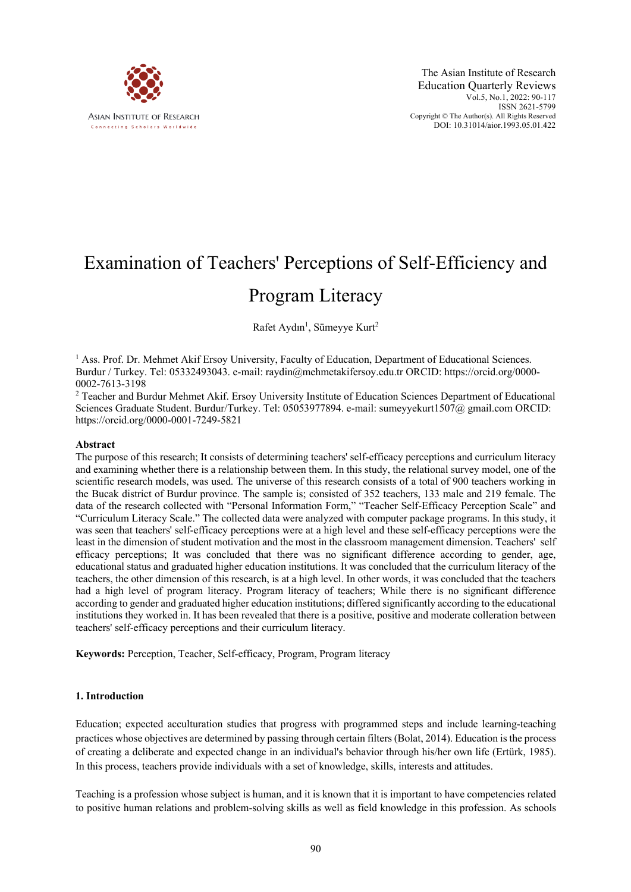

# Examination of Teachers' Perceptions of Self-Efficiency and

# Program Literacy

Rafet Aydın<sup>1</sup>, Sümeyye Kurt<sup>2</sup>

 $<sup>1</sup>$  Ass. Prof. Dr. Mehmet Akif Ersoy University, Faculty of Education, Department of Educational Sciences.</sup> Burdur / Turkey. Tel: 05332493043. e-mail: raydin@mehmetakifersoy.edu.tr ORCID: https://orcid.org/0000- 0002-7613-3198

<sup>2</sup> Teacher and Burdur Mehmet Akif. Ersoy University Institute of Education Sciences Department of Educational Sciences Graduate Student. Burdur/Turkey. Tel: 05053977894. e-mail: sumeyyekurt1507@ gmail.com ORCID: https://orcid.org/0000-0001-7249-5821

# **Abstract**

The purpose of this research; It consists of determining teachers' self-efficacy perceptions and curriculum literacy and examining whether there is a relationship between them. In this study, the relational survey model, one of the scientific research models, was used. The universe of this research consists of a total of 900 teachers working in the Bucak district of Burdur province. The sample is; consisted of 352 teachers, 133 male and 219 female. The data of the research collected with "Personal Information Form," "Teacher Self-Efficacy Perception Scale" and "Curriculum Literacy Scale." The collected data were analyzed with computer package programs. In this study, it was seen that teachers' self-efficacy perceptions were at a high level and these self-efficacy perceptions were the least in the dimension of student motivation and the most in the classroom management dimension. Teachers' self efficacy perceptions; It was concluded that there was no significant difference according to gender, age, educational status and graduated higher education institutions. It was concluded that the curriculum literacy of the teachers, the other dimension of this research, is at a high level. In other words, it was concluded that the teachers had a high level of program literacy. Program literacy of teachers; While there is no significant difference according to gender and graduated higher education institutions; differed significantly according to the educational institutions they worked in. It has been revealed that there is a positive, positive and moderate colleration between teachers' self-efficacy perceptions and their curriculum literacy.

**Keywords:** Perception, Teacher, Self-efficacy, Program, Program literacy

# **1. Introduction**

Education; expected acculturation studies that progress with programmed steps and include learning-teaching practices whose objectives are determined by passing through certain filters (Bolat, 2014). Education is the process of creating a deliberate and expected change in an individual's behavior through his/her own life (Ertürk, 1985). In this process, teachers provide individuals with a set of knowledge, skills, interests and attitudes.

Teaching is a profession whose subject is human, and it is known that it is important to have competencies related to positive human relations and problem-solving skills as well as field knowledge in this profession. As schools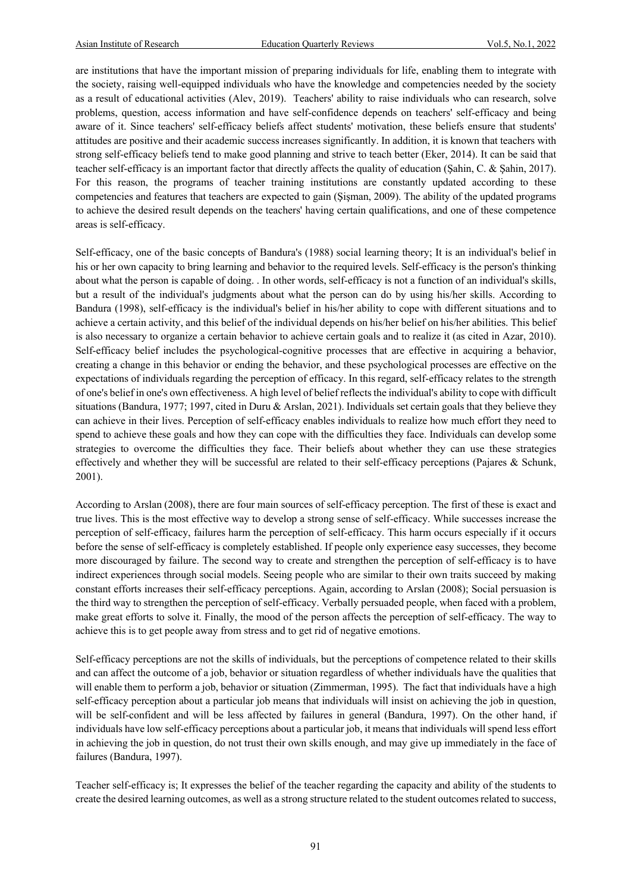are institutions that have the important mission of preparing individuals for life, enabling them to integrate with the society, raising well-equipped individuals who have the knowledge and competencies needed by the society as a result of educational activities (Alev, 2019). Teachers' ability to raise individuals who can research, solve problems, question, access information and have self-confidence depends on teachers' self-efficacy and being aware of it. Since teachers' self-efficacy beliefs affect students' motivation, these beliefs ensure that students' attitudes are positive and their academic success increases significantly. In addition, it is known that teachers with strong self-efficacy beliefs tend to make good planning and strive to teach better (Eker, 2014). It can be said that teacher self-efficacy is an important factor that directly affects the quality of education (Şahin, C. & Şahin, 2017). For this reason, the programs of teacher training institutions are constantly updated according to these competencies and features that teachers are expected to gain (Şişman, 2009). The ability of the updated programs to achieve the desired result depends on the teachers' having certain qualifications, and one of these competence areas is self-efficacy.

Self-efficacy, one of the basic concepts of Bandura's (1988) social learning theory; It is an individual's belief in his or her own capacity to bring learning and behavior to the required levels. Self-efficacy is the person's thinking about what the person is capable of doing. . In other words, self-efficacy is not a function of an individual's skills, but a result of the individual's judgments about what the person can do by using his/her skills. According to Bandura (1998), self-efficacy is the individual's belief in his/her ability to cope with different situations and to achieve a certain activity, and this belief of the individual depends on his/her belief on his/her abilities. This belief is also necessary to organize a certain behavior to achieve certain goals and to realize it (as cited in Azar, 2010). Self-efficacy belief includes the psychological-cognitive processes that are effective in acquiring a behavior, creating a change in this behavior or ending the behavior, and these psychological processes are effective on the expectations of individuals regarding the perception of efficacy. In this regard, self-efficacy relates to the strength of one's belief in one's own effectiveness. A high level of belief reflects the individual's ability to cope with difficult situations (Bandura, 1977; 1997, cited in Duru & Arslan, 2021). Individuals set certain goals that they believe they can achieve in their lives. Perception of self-efficacy enables individuals to realize how much effort they need to spend to achieve these goals and how they can cope with the difficulties they face. Individuals can develop some strategies to overcome the difficulties they face. Their beliefs about whether they can use these strategies effectively and whether they will be successful are related to their self-efficacy perceptions (Pajares & Schunk, 2001).

According to Arslan (2008), there are four main sources of self-efficacy perception. The first of these is exact and true lives. This is the most effective way to develop a strong sense of self-efficacy. While successes increase the perception of self-efficacy, failures harm the perception of self-efficacy. This harm occurs especially if it occurs before the sense of self-efficacy is completely established. If people only experience easy successes, they become more discouraged by failure. The second way to create and strengthen the perception of self-efficacy is to have indirect experiences through social models. Seeing people who are similar to their own traits succeed by making constant efforts increases their self-efficacy perceptions. Again, according to Arslan (2008); Social persuasion is the third way to strengthen the perception of self-efficacy. Verbally persuaded people, when faced with a problem, make great efforts to solve it. Finally, the mood of the person affects the perception of self-efficacy. The way to achieve this is to get people away from stress and to get rid of negative emotions.

Self-efficacy perceptions are not the skills of individuals, but the perceptions of competence related to their skills and can affect the outcome of a job, behavior or situation regardless of whether individuals have the qualities that will enable them to perform a job, behavior or situation (Zimmerman, 1995). The fact that individuals have a high self-efficacy perception about a particular job means that individuals will insist on achieving the job in question, will be self-confident and will be less affected by failures in general (Bandura, 1997). On the other hand, if individuals have low self-efficacy perceptions about a particular job, it means that individuals will spend less effort in achieving the job in question, do not trust their own skills enough, and may give up immediately in the face of failures (Bandura, 1997).

Teacher self-efficacy is; It expresses the belief of the teacher regarding the capacity and ability of the students to create the desired learning outcomes, as well as a strong structure related to the student outcomes related to success,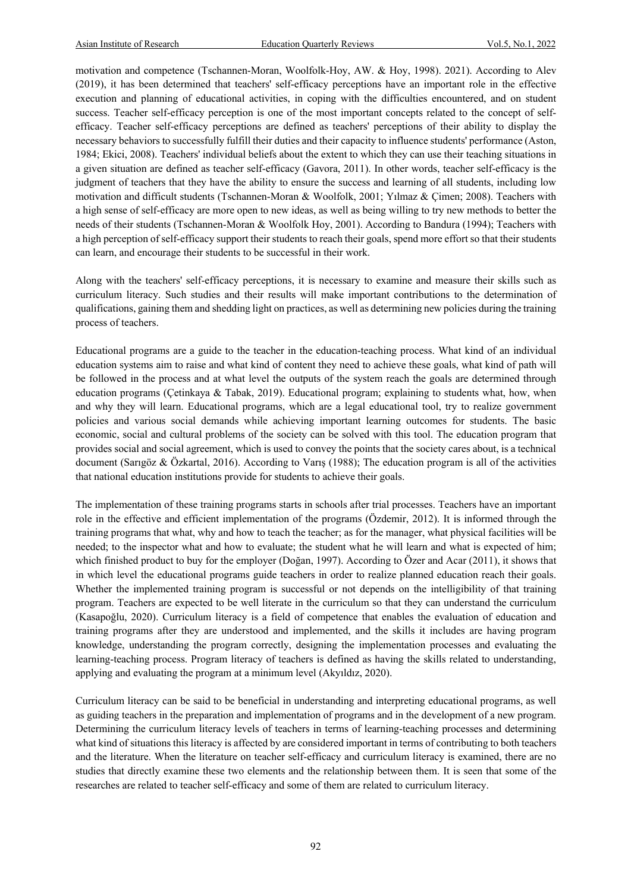motivation and competence (Tschannen-Moran, Woolfolk-Hoy, AW. & Hoy, 1998). 2021). According to Alev (2019), it has been determined that teachers' self-efficacy perceptions have an important role in the effective execution and planning of educational activities, in coping with the difficulties encountered, and on student success. Teacher self-efficacy perception is one of the most important concepts related to the concept of selfefficacy. Teacher self-efficacy perceptions are defined as teachers' perceptions of their ability to display the necessary behaviors to successfully fulfill their duties and their capacity to influence students' performance (Aston, 1984; Ekici, 2008). Teachers' individual beliefs about the extent to which they can use their teaching situations in a given situation are defined as teacher self-efficacy (Gavora, 2011). In other words, teacher self-efficacy is the judgment of teachers that they have the ability to ensure the success and learning of all students, including low motivation and difficult students (Tschannen-Moran & Woolfolk, 2001; Yılmaz & Çimen; 2008). Teachers with a high sense of self-efficacy are more open to new ideas, as well as being willing to try new methods to better the needs of their students (Tschannen-Moran & Woolfolk Hoy, 2001). According to Bandura (1994); Teachers with a high perception of self-efficacy support their students to reach their goals, spend more effort so that their students can learn, and encourage their students to be successful in their work.

Along with the teachers' self-efficacy perceptions, it is necessary to examine and measure their skills such as curriculum literacy. Such studies and their results will make important contributions to the determination of qualifications, gaining them and shedding light on practices, as well as determining new policies during the training process of teachers.

Educational programs are a guide to the teacher in the education-teaching process. What kind of an individual education systems aim to raise and what kind of content they need to achieve these goals, what kind of path will be followed in the process and at what level the outputs of the system reach the goals are determined through education programs (Çetinkaya & Tabak, 2019). Educational program; explaining to students what, how, when and why they will learn. Educational programs, which are a legal educational tool, try to realize government policies and various social demands while achieving important learning outcomes for students. The basic economic, social and cultural problems of the society can be solved with this tool. The education program that provides social and social agreement, which is used to convey the points that the society cares about, is a technical document (Sarıgöz & Özkartal, 2016). According to Varış (1988); The education program is all of the activities that national education institutions provide for students to achieve their goals.

The implementation of these training programs starts in schools after trial processes. Teachers have an important role in the effective and efficient implementation of the programs (Özdemir, 2012). It is informed through the training programs that what, why and how to teach the teacher; as for the manager, what physical facilities will be needed; to the inspector what and how to evaluate; the student what he will learn and what is expected of him; which finished product to buy for the employer (Doğan, 1997). According to Özer and Acar (2011), it shows that in which level the educational programs guide teachers in order to realize planned education reach their goals. Whether the implemented training program is successful or not depends on the intelligibility of that training program. Teachers are expected to be well literate in the curriculum so that they can understand the curriculum (Kasapoğlu, 2020). Curriculum literacy is a field of competence that enables the evaluation of education and training programs after they are understood and implemented, and the skills it includes are having program knowledge, understanding the program correctly, designing the implementation processes and evaluating the learning-teaching process. Program literacy of teachers is defined as having the skills related to understanding, applying and evaluating the program at a minimum level (Akyıldız, 2020).

Curriculum literacy can be said to be beneficial in understanding and interpreting educational programs, as well as guiding teachers in the preparation and implementation of programs and in the development of a new program. Determining the curriculum literacy levels of teachers in terms of learning-teaching processes and determining what kind of situations this literacy is affected by are considered important in terms of contributing to both teachers and the literature. When the literature on teacher self-efficacy and curriculum literacy is examined, there are no studies that directly examine these two elements and the relationship between them. It is seen that some of the researches are related to teacher self-efficacy and some of them are related to curriculum literacy.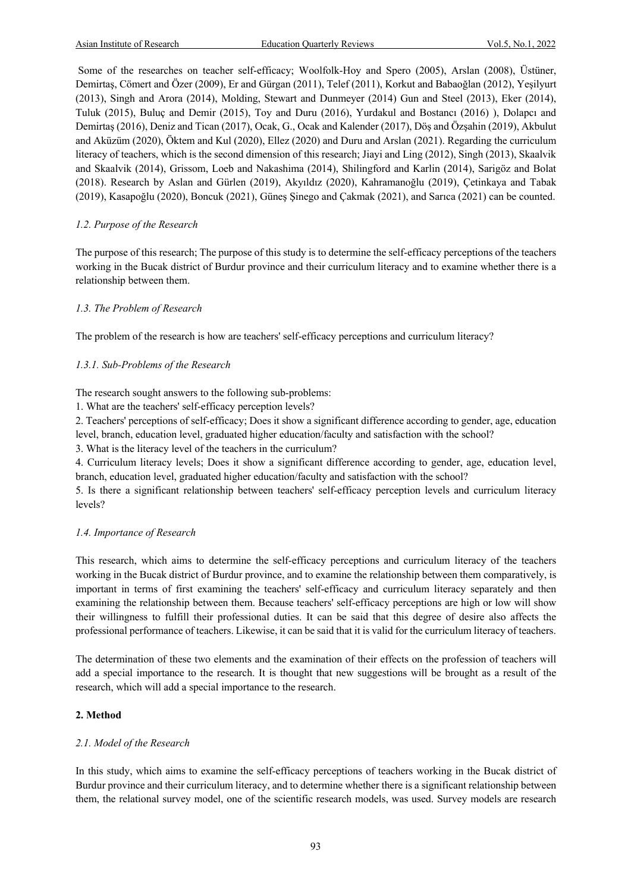Some of the researches on teacher self-efficacy; Woolfolk-Hoy and Spero (2005), Arslan (2008), Üstüner, Demirtaş, Cömert and Özer (2009), Er and Gürgan (2011), Telef (2011), Korkut and Babaoğlan (2012), Yeşilyurt (2013), Singh and Arora (2014), Molding, Stewart and Dunmeyer (2014) Gun and Steel (2013), Eker (2014), Tuluk (2015), Buluç and Demir (2015), Toy and Duru (2016), Yurdakul and Bostancı (2016) ), Dolapcı and Demirtaş (2016), Deniz and Tican (2017), Ocak, G., Ocak and Kalender (2017), Döş and Özşahin (2019), Akbulut and Aküzüm (2020), Öktem and Kul (2020), Ellez (2020) and Duru and Arslan (2021). Regarding the curriculum literacy of teachers, which is the second dimension of this research; Jiayi and Ling (2012), Singh (2013), Skaalvik and Skaalvik (2014), Grissom, Loeb and Nakashima (2014), Shilingford and Karlin (2014), Sarigöz and Bolat (2018). Research by Aslan and Gürlen (2019), Akyıldız (2020), Kahramanoğlu (2019), Çetinkaya and Tabak (2019), Kasapoğlu (2020), Boncuk (2021), Güneş Şinego and Çakmak (2021), and Sarıca (2021) can be counted.

# *1.2. Purpose of the Research*

The purpose of this research; The purpose of this study is to determine the self-efficacy perceptions of the teachers working in the Bucak district of Burdur province and their curriculum literacy and to examine whether there is a relationship between them.

# *1.3. The Problem of Research*

The problem of the research is how are teachers' self-efficacy perceptions and curriculum literacy?

# *1.3.1. Sub-Problems of the Research*

The research sought answers to the following sub-problems:

1. What are the teachers' self-efficacy perception levels?

2. Teachers' perceptions of self-efficacy; Does it show a significant difference according to gender, age, education level, branch, education level, graduated higher education/faculty and satisfaction with the school?

3. What is the literacy level of the teachers in the curriculum?

4. Curriculum literacy levels; Does it show a significant difference according to gender, age, education level, branch, education level, graduated higher education/faculty and satisfaction with the school?

5. Is there a significant relationship between teachers' self-efficacy perception levels and curriculum literacy levels?

# *1.4. Importance of Research*

This research, which aims to determine the self-efficacy perceptions and curriculum literacy of the teachers working in the Bucak district of Burdur province, and to examine the relationship between them comparatively, is important in terms of first examining the teachers' self-efficacy and curriculum literacy separately and then examining the relationship between them. Because teachers' self-efficacy perceptions are high or low will show their willingness to fulfill their professional duties. It can be said that this degree of desire also affects the professional performance of teachers. Likewise, it can be said that it is valid for the curriculum literacy of teachers.

The determination of these two elements and the examination of their effects on the profession of teachers will add a special importance to the research. It is thought that new suggestions will be brought as a result of the research, which will add a special importance to the research.

# **2. Method**

# *2.1. Model of the Research*

In this study, which aims to examine the self-efficacy perceptions of teachers working in the Bucak district of Burdur province and their curriculum literacy, and to determine whether there is a significant relationship between them, the relational survey model, one of the scientific research models, was used. Survey models are research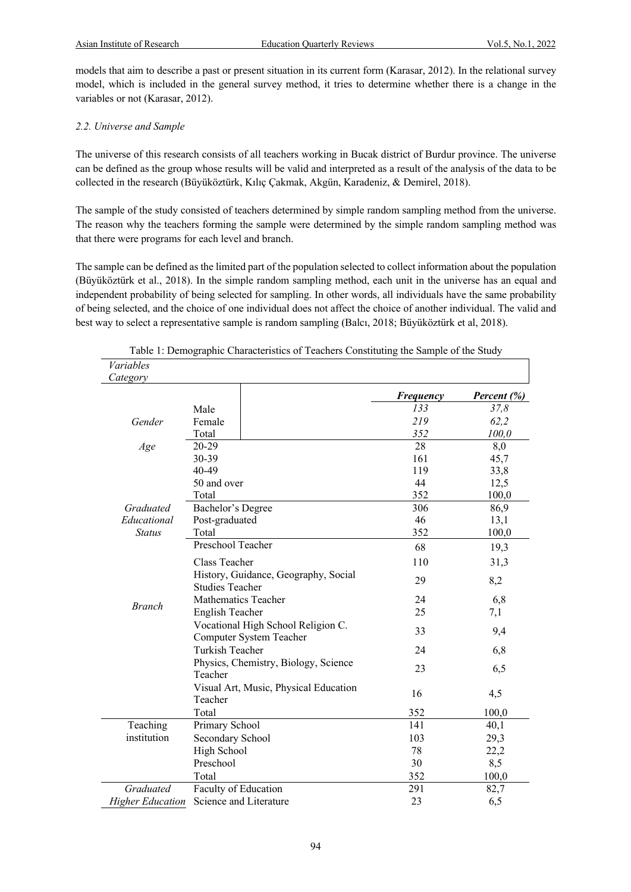models that aim to describe a past or present situation in its current form (Karasar, 2012). In the relational survey model, which is included in the general survey method, it tries to determine whether there is a change in the variables or not (Karasar, 2012).

# *2.2. Universe and Sample*

The universe of this research consists of all teachers working in Bucak district of Burdur province. The universe can be defined as the group whose results will be valid and interpreted as a result of the analysis of the data to be collected in the research (Büyüköztürk, Kılıç Çakmak, Akgün, Karadeniz, & Demirel, 2018).

The sample of the study consisted of teachers determined by simple random sampling method from the universe. The reason why the teachers forming the sample were determined by the simple random sampling method was that there were programs for each level and branch.

The sample can be defined as the limited part of the population selected to collect information about the population (Büyüköztürk et al., 2018). In the simple random sampling method, each unit in the universe has an equal and independent probability of being selected for sampling. In other words, all individuals have the same probability of being selected, and the choice of one individual does not affect the choice of another individual. The valid and best way to select a representative sample is random sampling (Balcı, 2018; Büyüköztürk et al, 2018).

| Variables               |                                                                |           |             |
|-------------------------|----------------------------------------------------------------|-----------|-------------|
| Category                |                                                                |           |             |
|                         |                                                                | Frequency | Percent (%) |
|                         | Male                                                           | 133       | 37,8        |
| Gender                  | Female                                                         | 219       | 62,2        |
|                         | Total                                                          | 352       | 100,0       |
| Age                     | 20-29                                                          | 28        | 8,0         |
|                         | 30-39                                                          | 161       | 45,7        |
|                         | 40-49                                                          | 119       | 33,8        |
|                         | 50 and over                                                    | 44        | 12,5        |
|                         | Total                                                          | 352       | 100,0       |
| Graduated               | Bachelor's Degree                                              | 306       | 86,9        |
| Educational             | Post-graduated                                                 | 46        | 13,1        |
| <b>Status</b>           | Total                                                          | 352       | 100,0       |
|                         | Preschool Teacher                                              | 68        | 19,3        |
|                         | Class Teacher                                                  | 110       | 31,3        |
|                         | History, Guidance, Geography, Social<br><b>Studies Teacher</b> | 29        | 8,2         |
|                         | Mathematics Teacher                                            | 24        | 6,8         |
| <b>Branch</b>           | English Teacher                                                | 25        | 7,1         |
|                         | Vocational High School Religion C.<br>Computer System Teacher  | 33        | 9,4         |
|                         | Turkish Teacher                                                | 24        | 6,8         |
|                         | Physics, Chemistry, Biology, Science<br>Teacher                | 23        | 6,5         |
|                         | Visual Art, Music, Physical Education<br>Teacher               | 16        | 4,5         |
|                         | Total                                                          | 352       | 100,0       |
| Teaching                | Primary School                                                 | 141       | 40,1        |
| institution             | Secondary School                                               | 103       | 29,3        |
|                         | High School                                                    | 78        | 22,2        |
|                         | Preschool                                                      | 30        | 8,5         |
|                         | Total                                                          | 352       | 100,0       |
| Graduated               | Faculty of Education                                           | 291       | 82,7        |
| <b>Higher Education</b> | Science and Literature                                         | 23        | 6,5         |

# Table 1: Demographic Characteristics of Teachers Constituting the Sample of the Study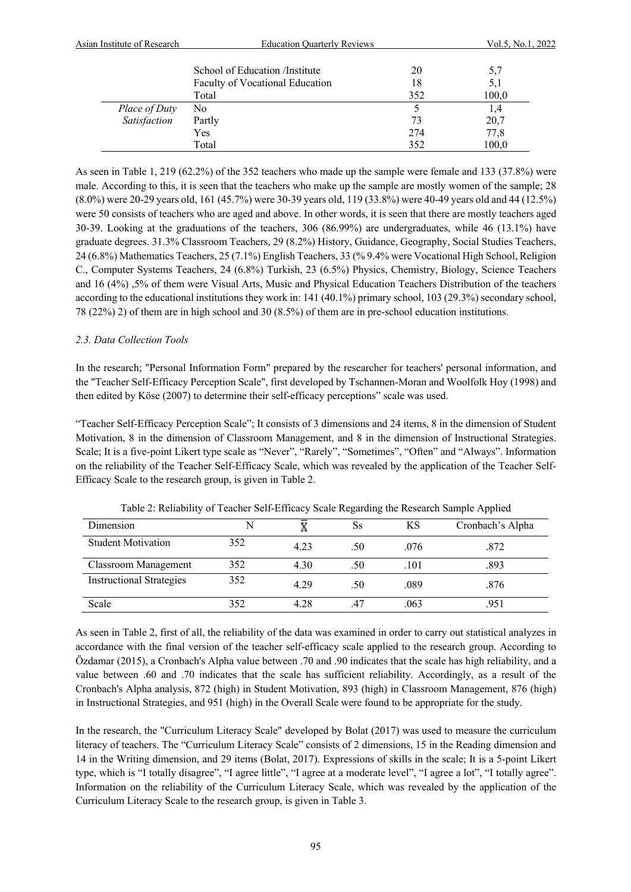| Asian Institute of Research | <b>Education Quarterly Reviews</b> |     | Vol.5, No.1, 2022 |  |
|-----------------------------|------------------------------------|-----|-------------------|--|
|                             | School of Education /Institute     | 20  | 5,7               |  |
|                             | Faculty of Vocational Education    | 18  | 5,1               |  |
|                             | Total                              | 352 | 100,0             |  |
| Place of Duty               | No                                 |     | 1,4               |  |
| Satisfaction                | Partly                             | 73  | 20,7              |  |
|                             | Yes                                | 274 | 77,8              |  |
|                             | Total                              | 352 | 100,0             |  |

As seen in Table 1, 219 (62.2%) of the 352 teachers who made up the sample were female and 133 (37.8%) were male. According to this, it is seen that the teachers who make up the sample are mostly women of the sample; 28 (8.0%) were 20-29 years old, 161 (45.7%) were 30-39 years old, 119 (33.8%) were 40-49 years old and 44 (12.5%) were 50 consists of teachers who are aged and above. In other words, it is seen that there are mostly teachers aged 30-39. Looking at the graduations of the teachers, 306 (86.99%) are undergraduates, while 46 (13.1%) have graduate degrees. 31.3% Classroom Teachers, 29 (8.2%) History, Guidance, Geography, Social Studies Teachers, 24 (6.8%) Mathematics Teachers, 25 (7.1%) English Teachers, 33 (% 9.4% were Vocational High School, Religion C., Computer Systems Teachers, 24 (6.8%) Turkish, 23 (6.5%) Physics, Chemistry, Biology, Science Teachers and 16 (4%) ,5% of them were Visual Arts, Music and Physical Education Teachers Distribution of the teachers according to the educational institutions they work in: 141 (40.1%) primary school, 103 (29.3%) secondary school, 78 (22%) 2) of them are in high school and 30 (8.5%) of them are in pre-school education institutions.

# *2.3. Data Collection Tools*

In the research; "Personal Information Form" prepared by the researcher for teachers' personal information, and the "Teacher Self-Efficacy Perception Scale", first developed by Tschannen-Moran and Woolfolk Hoy (1998) and then edited by Köse (2007) to determine their self-efficacy perceptions" scale was used.

"Teacher Self-Efficacy Perception Scale"; It consists of 3 dimensions and 24 items, 8 in the dimension of Student Motivation, 8 in the dimension of Classroom Management, and 8 in the dimension of Instructional Strategies. Scale; It is a five-point Likert type scale as "Never", "Rarely", "Sometimes", "Often" and "Always". Information on the reliability of the Teacher Self-Efficacy Scale, which was revealed by the application of the Teacher Self-Efficacy Scale to the research group, is given in Table 2.

| Tuble 2: Rendomy of Teacher Ben Emicae, Beale Regarding the Rebearen Bample Tipphed |     |      |     |      |                  |  |  |
|-------------------------------------------------------------------------------------|-----|------|-----|------|------------------|--|--|
| Dimension                                                                           |     |      | Ss  | ΚS   | Cronbach's Alpha |  |  |
| <b>Student Motivation</b>                                                           | 352 | 4.23 | .50 | .076 | .872             |  |  |
| <b>Classroom Management</b>                                                         | 352 | 4.30 | .50 | .101 | .893             |  |  |
| <b>Instructional Strategies</b>                                                     | 352 | 4.29 | .50 | .089 | .876             |  |  |
| Scale                                                                               | 352 | 4.28 |     | .063 | .951             |  |  |

Table 2: Reliability of Teacher Self-Efficacy Scale Regarding the Research Sample Applied

As seen in Table 2, first of all, the reliability of the data was examined in order to carry out statistical analyzes in accordance with the final version of the teacher self-efficacy scale applied to the research group. According to Özdamar (2015), a Cronbach's Alpha value between .70 and .90 indicates that the scale has high reliability, and a value between .60 and .70 indicates that the scale has sufficient reliability. Accordingly, as a result of the Cronbach's Alpha analysis, 872 (high) in Student Motivation, 893 (high) in Classroom Management, 876 (high) in Instructional Strategies, and 951 (high) in the Overall Scale were found to be appropriate for the study.

In the research, the "Curriculum Literacy Scale" developed by Bolat (2017) was used to measure the curriculum literacy of teachers. The "Curriculum Literacy Scale" consists of 2 dimensions, 15 in the Reading dimension and 14 in the Writing dimension, and 29 items (Bolat, 2017). Expressions of skills in the scale; It is a 5-point Likert type, which is "I totally disagree", "I agree little", "I agree at a moderate level", "I agree a lot", "I totally agree". Information on the reliability of the Curriculum Literacy Scale, which was revealed by the application of the Curriculum Literacy Scale to the research group, is given in Table 3.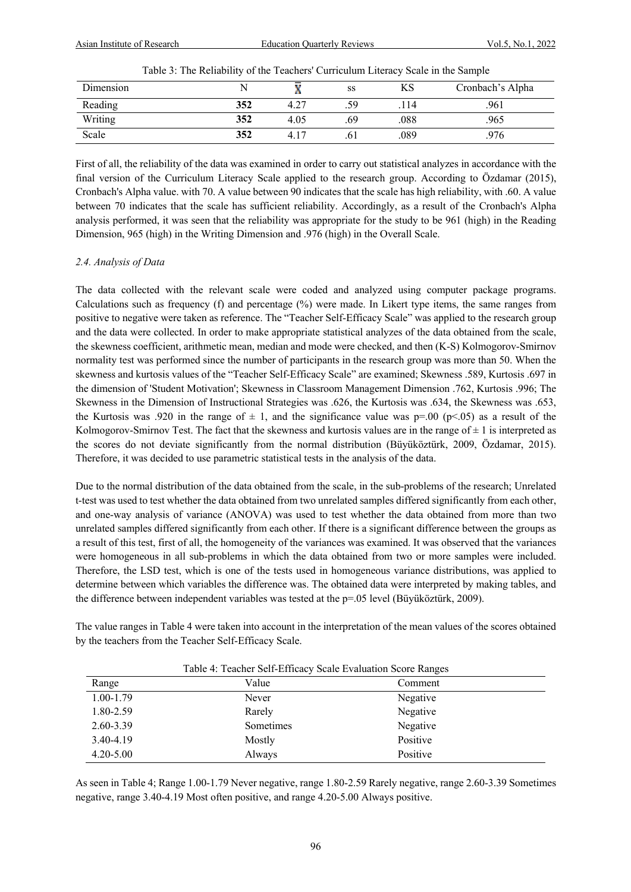| Dimension |     | . .  | SS  | ΚS   | Cronbach's Alpha |
|-----------|-----|------|-----|------|------------------|
| Reading   | 352 | 4.27 | 59  | .114 | .961             |
| Writing   | 352 | 4.05 | .69 | .088 | .965             |
| Scale     | 352 | 4.17 | .01 | .089 | 976              |

Table 3: The Reliability of the Teachers' Curriculum Literacy Scale in the Sample

First of all, the reliability of the data was examined in order to carry out statistical analyzes in accordance with the final version of the Curriculum Literacy Scale applied to the research group. According to Özdamar (2015), Cronbach's Alpha value. with 70. A value between 90 indicates that the scale has high reliability, with .60. A value between 70 indicates that the scale has sufficient reliability. Accordingly, as a result of the Cronbach's Alpha analysis performed, it was seen that the reliability was appropriate for the study to be 961 (high) in the Reading Dimension, 965 (high) in the Writing Dimension and .976 (high) in the Overall Scale.

# *2.4. Analysis of Data*

The data collected with the relevant scale were coded and analyzed using computer package programs. Calculations such as frequency (f) and percentage (%) were made. In Likert type items, the same ranges from positive to negative were taken as reference. The "Teacher Self-Efficacy Scale" was applied to the research group and the data were collected. In order to make appropriate statistical analyzes of the data obtained from the scale, the skewness coefficient, arithmetic mean, median and mode were checked, and then (K-S) Kolmogorov-Smirnov normality test was performed since the number of participants in the research group was more than 50. When the skewness and kurtosis values of the "Teacher Self-Efficacy Scale" are examined; Skewness .589, Kurtosis .697 in the dimension of 'Student Motivation'; Skewness in Classroom Management Dimension .762, Kurtosis .996; The Skewness in the Dimension of Instructional Strategies was .626, the Kurtosis was .634, the Skewness was .653, the Kurtosis was .920 in the range of  $\pm$  1, and the significance value was p=.00 (p<.05) as a result of the Kolmogorov-Smirnov Test. The fact that the skewness and kurtosis values are in the range of  $\pm 1$  is interpreted as the scores do not deviate significantly from the normal distribution (Büyüköztürk, 2009, Özdamar, 2015). Therefore, it was decided to use parametric statistical tests in the analysis of the data.

Due to the normal distribution of the data obtained from the scale, in the sub-problems of the research; Unrelated t-test was used to test whether the data obtained from two unrelated samples differed significantly from each other, and one-way analysis of variance (ANOVA) was used to test whether the data obtained from more than two unrelated samples differed significantly from each other. If there is a significant difference between the groups as a result of this test, first of all, the homogeneity of the variances was examined. It was observed that the variances were homogeneous in all sub-problems in which the data obtained from two or more samples were included. Therefore, the LSD test, which is one of the tests used in homogeneous variance distributions, was applied to determine between which variables the difference was. The obtained data were interpreted by making tables, and the difference between independent variables was tested at the p=.05 level (Büyüköztürk, 2009).

The value ranges in Table 4 were taken into account in the interpretation of the mean values of the scores obtained by the teachers from the Teacher Self-Efficacy Scale.

| Table 4: Teacher Self-Efficacy Scale Evaluation Score Ranges |           |          |  |  |  |
|--------------------------------------------------------------|-----------|----------|--|--|--|
| Range                                                        | Value     | Comment  |  |  |  |
| $1.00 - 1.79$                                                | Never     | Negative |  |  |  |
| 1.80-2.59                                                    | Rarely    | Negative |  |  |  |
| 2.60-3.39                                                    | Sometimes | Negative |  |  |  |
| 3.40-4.19                                                    | Mostly    | Positive |  |  |  |
| $4.20 - 5.00$                                                | Always    | Positive |  |  |  |

As seen in Table 4; Range 1.00-1.79 Never negative, range 1.80-2.59 Rarely negative, range 2.60-3.39 Sometimes negative, range 3.40-4.19 Most often positive, and range 4.20-5.00 Always positive.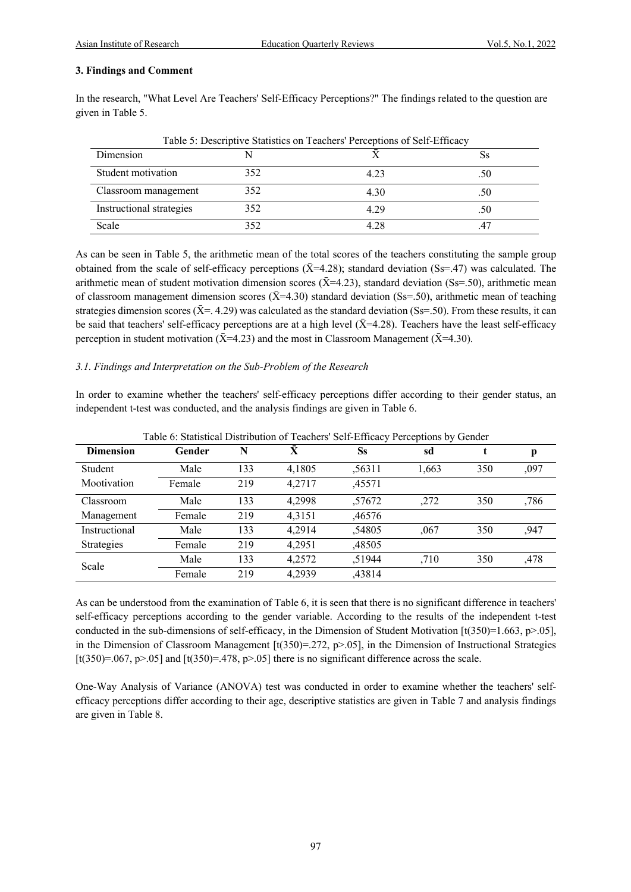# **3. Findings and Comment**

In the research, "What Level Are Teachers' Self-Efficacy Perceptions?" The findings related to the question are given in Table 5.

| Table 5: Descriptive Statistics on Teachers' Perceptions of Self-Efficacy |     |      |     |  |  |  |
|---------------------------------------------------------------------------|-----|------|-----|--|--|--|
| Dimension                                                                 |     |      |     |  |  |  |
| Student motivation                                                        | 352 | 4.23 | .50 |  |  |  |
| Classroom management                                                      | 352 | 4.30 | .50 |  |  |  |
| Instructional strategies                                                  | 352 | 4.29 | .50 |  |  |  |
| Scale                                                                     | 352 | 4 28 |     |  |  |  |

Table 5: Descriptive Statistics on Teachers' Perceptions of Self-Efficacy

As can be seen in Table 5, the arithmetic mean of the total scores of the teachers constituting the sample group obtained from the scale of self-efficacy perceptions  $(\bar{X}=4.28)$ ; standard deviation (Ss=.47) was calculated. The arithmetic mean of student motivation dimension scores ( $\bar{X}$ =4.23), standard deviation (Ss=.50), arithmetic mean of classroom management dimension scores ( $\bar{X}$ =4.30) standard deviation (Ss=.50), arithmetic mean of teaching strategies dimension scores ( $\bar{X}$ =. 4.29) was calculated as the standard deviation (Ss=.50). From these results, it can be said that teachers' self-efficacy perceptions are at a high level  $(\bar{X}=4.28)$ . Teachers have the least self-efficacy perception in student motivation ( $\bar{X}$ =4.23) and the most in Classroom Management ( $\bar{X}$ =4.30).

# *3.1. Findings and Interpretation on the Sub-Problem of the Research*

In order to examine whether the teachers' self-efficacy perceptions differ according to their gender status, an independent t-test was conducted, and the analysis findings are given in Table 6.

| <b>Dimension</b>  | Gender | N   |        | Ss     | sd    |     | p    |
|-------------------|--------|-----|--------|--------|-------|-----|------|
| Student           | Male   | 133 | 4,1805 | ,56311 | 1,663 | 350 | ,097 |
| Mootivation       | Female | 219 | 4,2717 | ,45571 |       |     |      |
| Classroom         | Male   | 133 | 4,2998 | ,57672 | ,272  | 350 | ,786 |
| Management        | Female | 219 | 4.3151 | ,46576 |       |     |      |
| Instructional     | Male   | 133 | 4.2914 | ,54805 | ,067  | 350 | ,947 |
| <b>Strategies</b> | Female | 219 | 4.2951 | ,48505 |       |     |      |
|                   | Male   | 133 | 4,2572 | ,51944 | ,710  | 350 | ,478 |
| Scale             | Female | 219 | 4.2939 | ,43814 |       |     |      |

Table 6: Statistical Distribution of Teachers' Self-Efficacy Perceptions by Gender

As can be understood from the examination of Table 6, it is seen that there is no significant difference in teachers' self-efficacy perceptions according to the gender variable. According to the results of the independent t-test conducted in the sub-dimensions of self-efficacy, in the Dimension of Student Motivation [t(350)=1.663, p>.05], in the Dimension of Classroom Management  $[t(350)=272, p>0.05]$ , in the Dimension of Instructional Strategies [t(350)=.067, p>.05] and [t(350)=.478, p>.05] there is no significant difference across the scale.

One-Way Analysis of Variance (ANOVA) test was conducted in order to examine whether the teachers' selfefficacy perceptions differ according to their age, descriptive statistics are given in Table 7 and analysis findings are given in Table 8.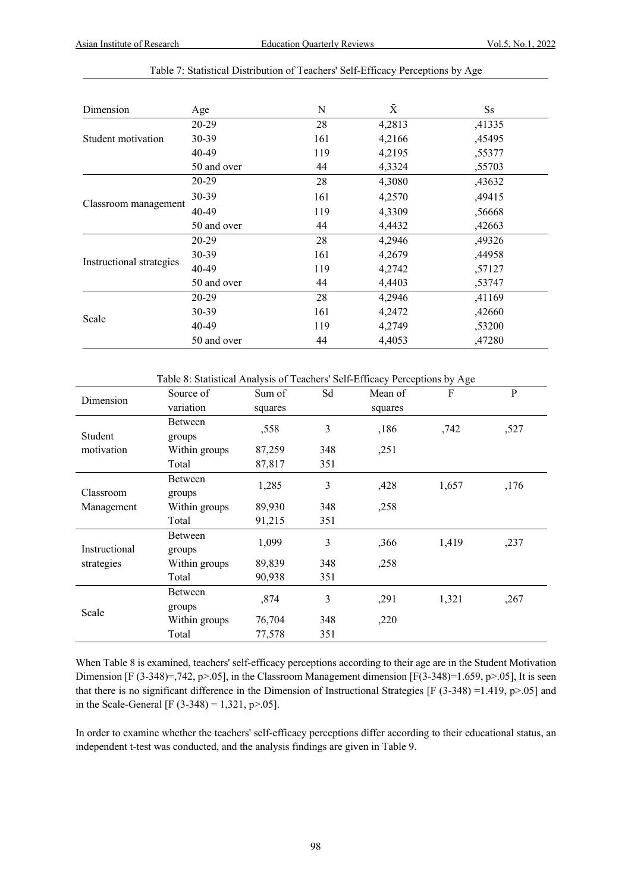| Dimension                | Age         | N   | $\bar{X}$ | $S_{S}$ |
|--------------------------|-------------|-----|-----------|---------|
|                          | 20-29       | 28  | 4,2813    | ,41335  |
| Student motivation       | 30-39       | 161 | 4,2166    | ,45495  |
|                          | 40-49       | 119 | 4,2195    | ,55377  |
|                          | 50 and over | 44  | 4,3324    | ,55703  |
|                          | 20-29       | 28  | 4,3080    | ,43632  |
|                          | 30-39       | 161 | 4,2570    | ,49415  |
| Classroom management     | 40-49       | 119 | 4,3309    | ,56668  |
|                          | 50 and over | 44  | 4,4432    | ,42663  |
|                          | 20-29       | 28  | 4,2946    | ,49326  |
|                          | 30-39       | 161 | 4,2679    | ,44958  |
| Instructional strategies | 40-49       | 119 | 4,2742    | ,57127  |
|                          | 50 and over | 44  | 4,4403    | ,53747  |
|                          | 20-29       | 28  | 4,2946    | ,41169  |
|                          | $30 - 39$   | 161 | 4,2472    | ,42660  |
| Scale                    | 40-49       | 119 | 4,2749    | ,53200  |
|                          | 50 and over | 44  | 4,4053    | ,47280  |

#### Table 7: Statistical Distribution of Teachers' Self-Efficacy Perceptions by Age

Table 8: Statistical Analysis of Teachers' Self-Efficacy Perceptions by Age

| Dimension     | Source of     | Sum of  | Sd  | Mean of | F     | P    |
|---------------|---------------|---------|-----|---------|-------|------|
|               | variation     | squares |     | squares |       |      |
|               | Between       | ,558    | 3   | ,186    | ,742  | ,527 |
| Student       | groups        |         |     |         |       |      |
| motivation    | Within groups | 87,259  | 348 | ,251    |       |      |
|               | Total         | 87,817  | 351 |         |       |      |
|               | Between       | 1,285   | 3   | ,428    | 1,657 | ,176 |
| Classroom     | groups        |         |     |         |       |      |
| Management    | Within groups | 89,930  | 348 | ,258    |       |      |
|               | Total         | 91,215  | 351 |         |       |      |
|               | Between       | 1,099   | 3   | ,366    | 1,419 | ,237 |
| Instructional | groups        |         |     |         |       |      |
| strategies    | Within groups | 89,839  | 348 | ,258    |       |      |
|               | Total         | 90,938  | 351 |         |       |      |
|               | Between       | ,874    | 3   | ,291    | 1,321 | ,267 |
| Scale         | groups        |         |     |         |       |      |
|               | Within groups | 76,704  | 348 | ,220    |       |      |
|               | Total         | 77,578  | 351 |         |       |      |

When Table 8 is examined, teachers' self-efficacy perceptions according to their age are in the Student Motivation Dimension [F (3-348)=,742, p>.05], in the Classroom Management dimension [F(3-348)=1.659, p>.05], It is seen that there is no significant difference in the Dimension of Instructional Strategies [F (3-348) =1.419, p>.05] and in the Scale-General [F  $(3-348) = 1,321, p > .05$ ].

In order to examine whether the teachers' self-efficacy perceptions differ according to their educational status, an independent t-test was conducted, and the analysis findings are given in Table 9.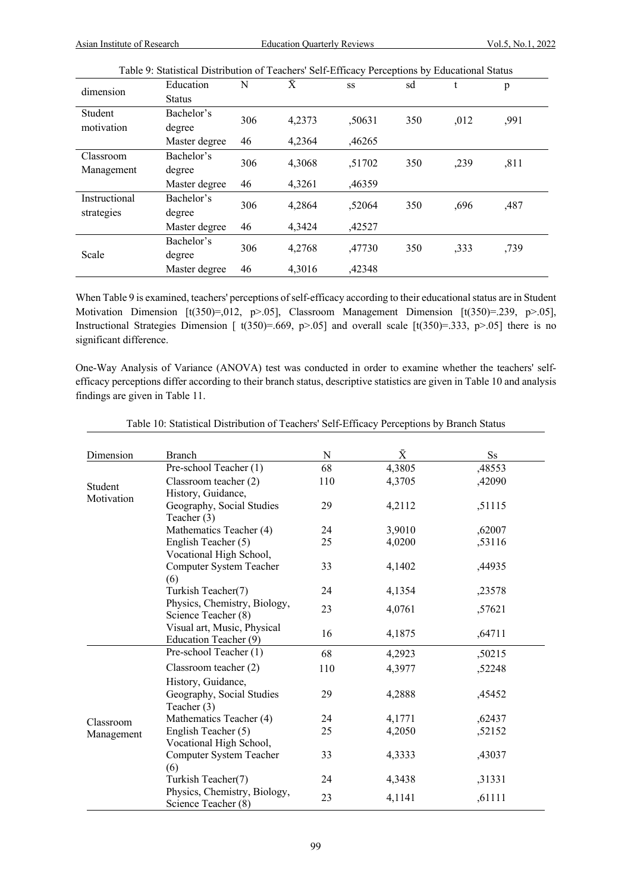|               | Table 9. Statistical Distribution of Feachers' Sen-Efficacy Ferceptions by Educational Status |     |        |        |     |      |      |
|---------------|-----------------------------------------------------------------------------------------------|-----|--------|--------|-----|------|------|
| dimension     | Education                                                                                     | N   | Ā      | SS     | sd  | t    | p    |
|               | <b>Status</b>                                                                                 |     |        |        |     |      |      |
| Student       | Bachelor's                                                                                    | 306 | 4,2373 | ,50631 | 350 | ,012 | ,991 |
| motivation    | degree                                                                                        |     |        |        |     |      |      |
|               | Master degree                                                                                 | 46  | 4,2364 | ,46265 |     |      |      |
| Classroom     | Bachelor's                                                                                    | 306 | 4,3068 | ,51702 | 350 | ,239 | ,811 |
| Management    | degree                                                                                        |     |        |        |     |      |      |
|               | Master degree                                                                                 | 46  | 4,3261 | ,46359 |     |      |      |
| Instructional | Bachelor's                                                                                    | 306 | 4,2864 | ,52064 | 350 | ,696 | ,487 |
| strategies    | degree                                                                                        |     |        |        |     |      |      |
|               | Master degree                                                                                 | 46  | 4,3424 | ,42527 |     |      |      |
|               | Bachelor's                                                                                    | 306 |        |        |     |      |      |
| Scale         | degree                                                                                        |     | 4,2768 | ,47730 | 350 | ,333 | ,739 |
|               | Master degree                                                                                 | 46  | 4,3016 | ,42348 |     |      |      |

Table 9: Statistical Distribution of Teachers' Self-Efficacy Perceptions by Educational Status

When Table 9 is examined, teachers' perceptions of self-efficacy according to their educational status are in Student Motivation Dimension  $[t(350)=0.012, p>0.05]$ , Classroom Management Dimension  $[t(350)=0.239, p>0.05]$ , Instructional Strategies Dimension [  $t(350)=.669$ , p>.05] and overall scale [ $t(350)=.333$ , p>.05] there is no significant difference.

One-Way Analysis of Variance (ANOVA) test was conducted in order to examine whether the teachers' selfefficacy perceptions differ according to their branch status, descriptive statistics are given in Table 10 and analysis findings are given in Table 11.

| Dimension  | <b>Branch</b>                                       | N   | $\bar{X}$ | <b>Ss</b> |
|------------|-----------------------------------------------------|-----|-----------|-----------|
|            | Pre-school Teacher (1)                              | 68  | 4,3805    | ,48553    |
| Student    | Classroom teacher (2)                               | 110 | 4,3705    | ,42090    |
| Motivation | History, Guidance,                                  |     |           |           |
|            | Geography, Social Studies                           | 29  | 4,2112    | ,51115    |
|            | Teacher $(3)$                                       |     |           |           |
|            | Mathematics Teacher (4)                             | 24  | 3,9010    | ,62007    |
|            | English Teacher (5)                                 | 25  | 4,0200    | ,53116    |
|            | Vocational High School,                             |     |           |           |
|            | Computer System Teacher                             | 33  | 4,1402    | ,44935    |
|            | (6)                                                 |     |           |           |
|            | Turkish Teacher(7)                                  | 24  | 4,1354    | ,23578    |
|            | Physics, Chemistry, Biology,                        | 23  | 4,0761    | ,57621    |
|            | Science Teacher (8)                                 |     |           |           |
|            | Visual art, Music, Physical                         | 16  | 4,1875    | ,64711    |
|            | Education Teacher (9)                               |     |           |           |
|            | Pre-school Teacher (1)                              | 68  | 4,2923    | ,50215    |
|            | Classroom teacher (2)                               | 110 | 4,3977    | ,52248    |
|            | History, Guidance,                                  |     |           |           |
|            | Geography, Social Studies                           | 29  | 4,2888    | ,45452    |
|            | Teacher (3)                                         |     |           |           |
| Classroom  | Mathematics Teacher (4)                             | 24  | 4,1771    | ,62437    |
| Management | English Teacher (5)                                 | 25  | 4,2050    | ,52152    |
|            | Vocational High School,                             |     |           |           |
|            | Computer System Teacher                             | 33  | 4,3333    | ,43037    |
|            | (6)                                                 |     |           |           |
|            | Turkish Teacher(7)                                  | 24  | 4,3438    | ,31331    |
|            | Physics, Chemistry, Biology,<br>Science Teacher (8) | 23  | 4,1141    | ,61111    |

Table 10: Statistical Distribution of Teachers' Self-Efficacy Perceptions by Branch Status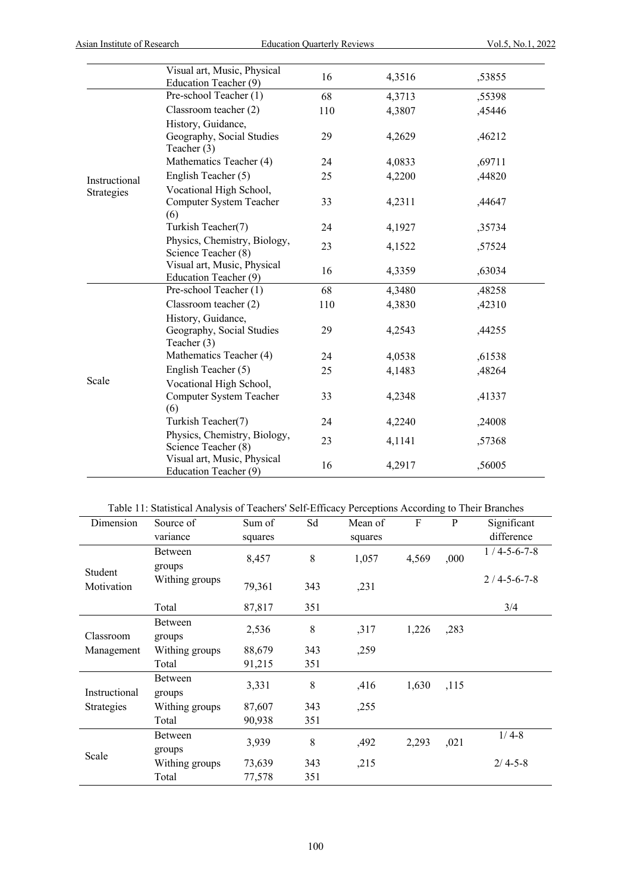|               | Visual art, Music, Physical<br>Education Teacher (9)           | 16  | 4,3516 | ,53855 |
|---------------|----------------------------------------------------------------|-----|--------|--------|
|               | Pre-school Teacher (1)                                         | 68  | 4,3713 | ,55398 |
|               | Classroom teacher (2)                                          | 110 | 4,3807 | ,45446 |
|               | History, Guidance,<br>Geography, Social Studies<br>Teacher (3) | 29  | 4,2629 | ,46212 |
|               | Mathematics Teacher (4)                                        | 24  | 4,0833 | ,69711 |
| Instructional | English Teacher (5)                                            | 25  | 4,2200 | ,44820 |
| Strategies    | Vocational High School,<br>Computer System Teacher<br>(6)      | 33  | 4,2311 | ,44647 |
|               | Turkish Teacher(7)                                             | 24  | 4,1927 | ,35734 |
|               | Physics, Chemistry, Biology,<br>Science Teacher (8)            | 23  | 4,1522 | ,57524 |
|               | Visual art, Music, Physical<br>Education Teacher (9)           | 16  | 4,3359 | ,63034 |
|               | Pre-school Teacher (1)                                         | 68  | 4,3480 | ,48258 |
|               | Classroom teacher (2)                                          | 110 | 4,3830 | ,42310 |
|               | History, Guidance,<br>Geography, Social Studies<br>Teacher (3) | 29  | 4,2543 | ,44255 |
|               | Mathematics Teacher (4)                                        | 24  | 4,0538 | ,61538 |
|               | English Teacher (5)                                            | 25  | 4,1483 | ,48264 |
| Scale         | Vocational High School,<br>Computer System Teacher<br>(6)      | 33  | 4,2348 | ,41337 |
|               | Turkish Teacher(7)                                             | 24  | 4,2240 | ,24008 |
|               | Physics, Chemistry, Biology,<br>Science Teacher (8)            | 23  | 4,1141 | ,57368 |
|               | Visual art, Music, Physical<br>Education Teacher (9)           | 16  | 4,2917 | ,56005 |

# Table 11: Statistical Analysis of Teachers' Self-Efficacy Perceptions According to Their Branches

| Dimension             | Source of      | Sum of  | Sd  | Mean of | F     | P    | Significant           |
|-----------------------|----------------|---------|-----|---------|-------|------|-----------------------|
|                       | variance       | squares |     | squares |       |      | difference            |
|                       | Between        |         | 8   | 1,057   |       |      | $1/4 - 5 - 6 - 7 - 8$ |
|                       | groups         | 8,457   |     |         | 4,569 | ,000 |                       |
| Student<br>Motivation | Withing groups | 79,361  | 343 | ,231    |       |      | $2/4 - 5 - 6 - 7 - 8$ |
|                       | Total          | 87,817  | 351 |         |       |      | 3/4                   |
|                       | Between        | 2,536   | 8   | ,317    | 1,226 | ,283 |                       |
| Classroom             | groups         |         |     |         |       |      |                       |
| Management            | Withing groups | 88,679  | 343 | ,259    |       |      |                       |
|                       | Total          | 91,215  | 351 |         |       |      |                       |
|                       | Between        | 3,331   | 8   | ,416    | 1,630 | ,115 |                       |
| Instructional         | groups         |         |     |         |       |      |                       |
| Strategies            | Withing groups | 87,607  | 343 | ,255    |       |      |                       |
|                       | Total          | 90,938  | 351 |         |       |      |                       |
|                       | Between        |         |     |         |       |      | $1/4-8$               |
| Scale                 | groups         | 3,939   | 8   | ,492    | 2,293 | ,021 |                       |
|                       | Withing groups | 73,639  | 343 | ,215    |       |      | $2/4 - 5 - 8$         |
|                       | Total          | 77,578  | 351 |         |       |      |                       |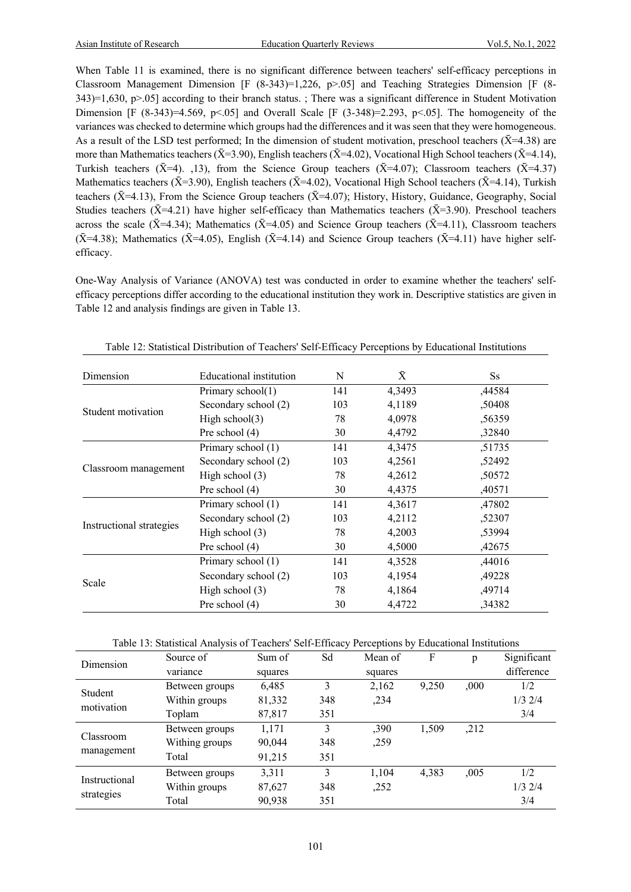When Table 11 is examined, there is no significant difference between teachers' self-efficacy perceptions in Classroom Management Dimension [F (8-343)=1,226, p>.05] and Teaching Strategies Dimension [F (8-  $343$ )=1,630, p>.05] according to their branch status. ; There was a significant difference in Student Motivation Dimension [F (8-343)=4.569, p<.05] and Overall Scale [F (3-348)=2.293, p<.05]. The homogeneity of the variances was checked to determine which groups had the differences and it was seen that they were homogeneous. As a result of the LSD test performed; In the dimension of student motivation, preschool teachers ( $\bar{X}$ =4.38) are more than Mathematics teachers ( $\bar{X}$ =3.90), English teachers ( $\bar{X}$ =4.02), Vocational High School teachers ( $\bar{X}$ =4.14), Turkish teachers ( $\bar{X}$ =4). ,13), from the Science Group teachers ( $\bar{X}$ =4.07); Classroom teachers ( $\bar{X}$ =4.37) Mathematics teachers ( $\bar{X}$ =3.90), English teachers ( $\bar{X}$ =4.02), Vocational High School teachers ( $\bar{X}$ =4.14), Turkish teachers ( $\bar{X}$ =4.13), From the Science Group teachers ( $\bar{X}$ =4.07); History, History, Guidance, Geography, Social Studies teachers ( $\bar{X}$ =4.21) have higher self-efficacy than Mathematics teachers ( $\bar{X}$ =3.90). Preschool teachers across the scale ( $\bar{X}$ =4.34); Mathematics ( $\bar{X}$ =4.05) and Science Group teachers ( $\bar{X}$ =4.11), Classroom teachers  $({\bar X}=4.38)$ ; Mathematics ( ${\bar X}=4.05$ ), English ( ${\bar X}=4.14$ ) and Science Group teachers ( ${\bar X}=4.11$ ) have higher selfefficacy.

One-Way Analysis of Variance (ANOVA) test was conducted in order to examine whether the teachers' selfefficacy perceptions differ according to the educational institution they work in. Descriptive statistics are given in Table 12 and analysis findings are given in Table 13.

| Dimension                | Educational institution                                                                                                                                            | N                                                                                                                                                                                                  | $\bar{X}$ | $S_{S}$ |
|--------------------------|--------------------------------------------------------------------------------------------------------------------------------------------------------------------|----------------------------------------------------------------------------------------------------------------------------------------------------------------------------------------------------|-----------|---------|
|                          | Primary school(1)                                                                                                                                                  | 141                                                                                                                                                                                                | 4,3493    | ,44584  |
| Student motivation       | Secondary school (2)                                                                                                                                               | 103                                                                                                                                                                                                | 4,1189    | ,50408  |
|                          | High school $(3)$                                                                                                                                                  | 78                                                                                                                                                                                                 | 4,0978    | ,56359  |
|                          | Pre school $(4)$                                                                                                                                                   | 4,4792<br>30<br>4,3475<br>141<br>4,2561<br>103<br>4,2612<br>78<br>4,4375<br>30<br>4,3617<br>141<br>4,2112<br>103<br>4,2003<br>78<br>4,5000<br>30<br>141<br>4,3528<br>103<br>4,1954<br>78<br>4,1864 |           | ,32840  |
|                          | Primary school (1)                                                                                                                                                 |                                                                                                                                                                                                    |           | ,51735  |
|                          | Secondary school (2)                                                                                                                                               |                                                                                                                                                                                                    |           | ,52492  |
| Classroom management     | High school $(3)$                                                                                                                                                  |                                                                                                                                                                                                    |           | ,50572  |
|                          | Pre school $(4)$                                                                                                                                                   |                                                                                                                                                                                                    |           | ,40571  |
|                          | Primary school (1)                                                                                                                                                 |                                                                                                                                                                                                    |           | ,47802  |
|                          | Secondary school (2)<br>High school $(3)$<br>Pre school $(4)$<br>Primary school (1)<br>Secondary school (2)<br>High school $(3)$<br>Pre school (4)<br>4,4722<br>30 | ,52307                                                                                                                                                                                             |           |         |
| Instructional strategies |                                                                                                                                                                    |                                                                                                                                                                                                    |           | ,53994  |
|                          |                                                                                                                                                                    |                                                                                                                                                                                                    |           | ,42675  |
|                          |                                                                                                                                                                    |                                                                                                                                                                                                    |           | ,44016  |
|                          |                                                                                                                                                                    |                                                                                                                                                                                                    | ,49228    |         |
| Scale                    |                                                                                                                                                                    |                                                                                                                                                                                                    |           | .49714  |
|                          |                                                                                                                                                                    |                                                                                                                                                                                                    | ,34382    |         |

Table 12: Statistical Distribution of Teachers' Self-Efficacy Perceptions by Educational Institutions

|               | Source of      | Sum of  | Sd  | Mean of | F     | p    | Significant |
|---------------|----------------|---------|-----|---------|-------|------|-------------|
| Dimension     | variance       | squares |     | squares |       |      | difference  |
| Student       | Between groups | 6,485   | 3   | 2,162   | 9,250 | ,000 | 1/2         |
|               | Within groups  | 81,332  | 348 | ,234    |       |      | $1/3$ $2/4$ |
| motivation    | Toplam         | 87,817  | 351 |         |       |      | 3/4         |
|               | Between groups | 1,171   | 3   | ,390    | 1,509 | ,212 |             |
| Classroom     | Withing groups | 90,044  | 348 | ,259    |       |      |             |
| management    | Total          | 91,215  | 351 |         |       |      |             |
|               | Between groups | 3,311   | 3   | 1,104   | 4,383 | ,005 | 1/2         |
| Instructional | Within groups  | 87,627  | 348 | ,252    |       |      | $1/3$ $2/4$ |
| strategies    | Total          | 90,938  | 351 |         |       |      | 3/4         |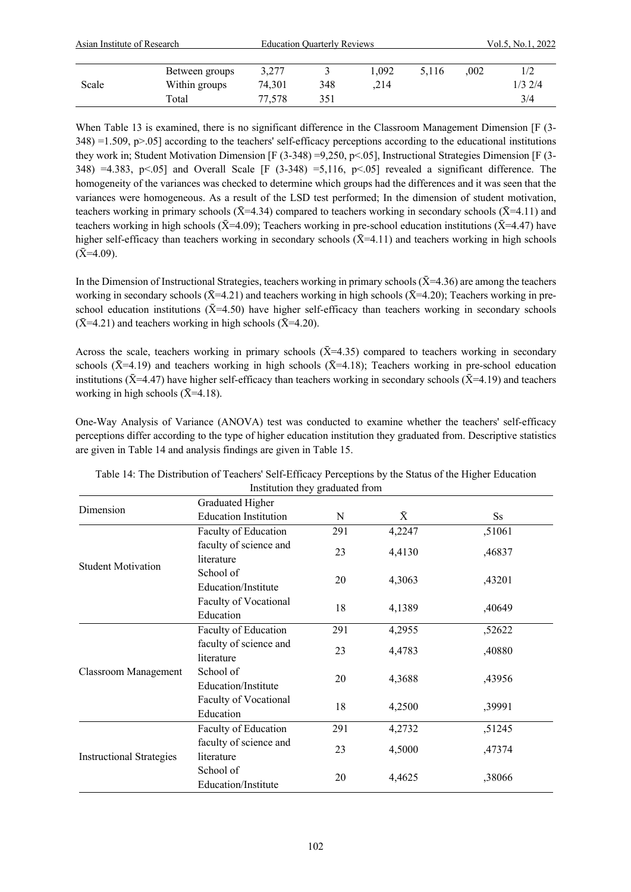| Asian Institute of Research |                |        | <b>Education Quarterly Reviews</b> |       |       |      | Vol.5, No.1, 2022 |  |  |
|-----------------------------|----------------|--------|------------------------------------|-------|-------|------|-------------------|--|--|
|                             | Between groups | 3,277  |                                    | 1.092 | 5.116 | .002 | 1/2               |  |  |
| Scale                       | Within groups  | 74.301 | 348                                | .214  |       |      | $1/3$ 2/4         |  |  |
|                             | Total          | 77,578 | 351                                |       |       |      | 3/4               |  |  |

When Table 13 is examined, there is no significant difference in the Classroom Management Dimension [F (3- $348$ ) =1.509, p>.05] according to the teachers' self-efficacy perceptions according to the educational institutions they work in; Student Motivation Dimension [F (3-348) =9,250, p<.05], Instructional Strategies Dimension [F (3- 348) =4.383, p<.05] and Overall Scale [F (3-348) =5,116, p<.05] revealed a significant difference. The homogeneity of the variances was checked to determine which groups had the differences and it was seen that the variances were homogeneous. As a result of the LSD test performed; In the dimension of student motivation, teachers working in primary schools ( $\bar{X}$ =4.34) compared to teachers working in secondary schools ( $\bar{X}$ =4.11) and teachers working in high schools ( $\bar{X}$ =4.09); Teachers working in pre-school education institutions ( $\bar{X}$ =4.47) have higher self-efficacy than teachers working in secondary schools  $(\bar{X}=4.11)$  and teachers working in high schools  $(X=4.09)$ .

In the Dimension of Instructional Strategies, teachers working in primary schools  $(X=4.36)$  are among the teachers working in secondary schools ( $\bar{X}$ =4.21) and teachers working in high schools ( $\bar{X}$ =4.20); Teachers working in preschool education institutions ( $\bar{X}$ =4.50) have higher self-efficacy than teachers working in secondary schools  $(\bar{X}$ =4.21) and teachers working in high schools ( $\bar{X}$ =4.20).

Across the scale, teachers working in primary schools  $(X=4.35)$  compared to teachers working in secondary schools ( $\bar{X}$ =4.19) and teachers working in high schools ( $\bar{X}$ =4.18); Teachers working in pre-school education institutions ( $\bar{X}$ =4.47) have higher self-efficacy than teachers working in secondary schools ( $\bar{X}$ =4.19) and teachers working in high schools  $({\bar X} = 4.18)$ .

One-Way Analysis of Variance (ANOVA) test was conducted to examine whether the teachers' self-efficacy perceptions differ according to the type of higher education institution they graduated from. Descriptive statistics are given in Table 14 and analysis findings are given in Table 15.

|                                 | Graduated Higher             |     |           |         |  |
|---------------------------------|------------------------------|-----|-----------|---------|--|
| Dimension                       | <b>Education Institution</b> | N   | $\bar{X}$ | $S_{S}$ |  |
|                                 | Faculty of Education         | 291 | 4,2247    | ,51061  |  |
|                                 | faculty of science and       | 23  | 4,4130    |         |  |
| <b>Student Motivation</b>       | literature                   |     |           | ,46837  |  |
|                                 | School of                    | 20  |           |         |  |
|                                 | Education/Institute          |     | 4,3063    | ,43201  |  |
|                                 | Faculty of Vocational        | 18  | 4,1389    |         |  |
|                                 | Education                    |     |           | ,40649  |  |
|                                 | Faculty of Education         | 291 | 4,2955    | ,52622  |  |
|                                 | faculty of science and       | 23  | 4,4783    | ,40880  |  |
|                                 | literature                   |     |           |         |  |
| Classroom Management            | School of                    | 20  | 4,3688    | ,43956  |  |
|                                 | Education/Institute          |     |           |         |  |
|                                 | Faculty of Vocational        | 18  | 4,2500    | ,39991  |  |
|                                 | Education                    |     |           |         |  |
|                                 | Faculty of Education         | 291 | 4,2732    | ,51245  |  |
|                                 | faculty of science and       | 23  | 4,5000    | ,47374  |  |
| <b>Instructional Strategies</b> | literature                   |     |           |         |  |
|                                 | School of                    | 20  | 4,4625    | ,38066  |  |
|                                 | Education/Institute          |     |           |         |  |

Table 14: The Distribution of Teachers' Self-Efficacy Perceptions by the Status of the Higher Education Institution they graduated from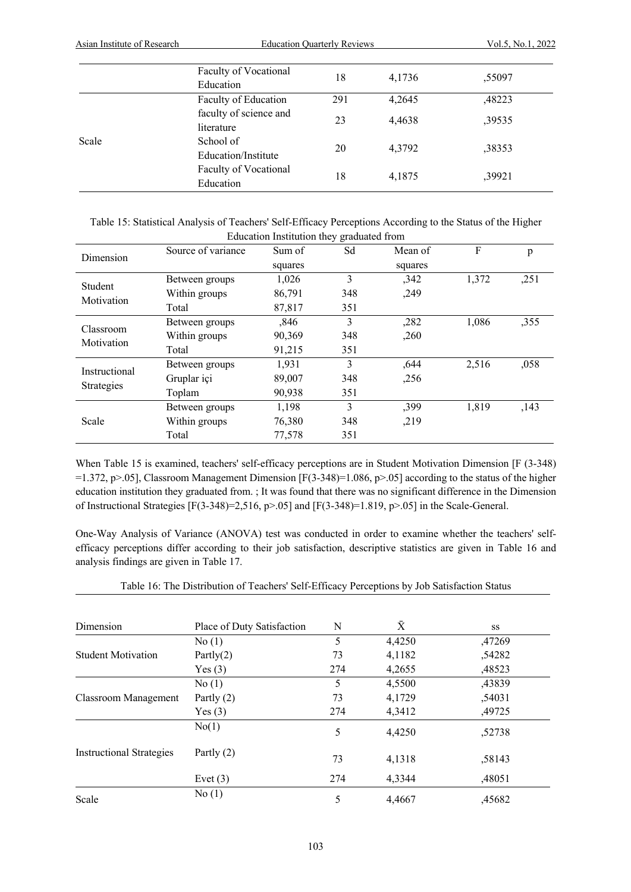|       | Faculty of Vocational<br>Education   | 18  | 4,1736 | ,55097 |
|-------|--------------------------------------|-----|--------|--------|
|       | Faculty of Education                 | 291 | 4,2645 | ,48223 |
|       | faculty of science and<br>literature | 23  | 4,4638 | ,39535 |
| Scale | School of<br>Education/Institute     | 20  | 4.3792 | ,38353 |
|       | Faculty of Vocational<br>Education   | 18  | 4,1875 | ,39921 |

| Table 15: Statistical Analysis of Teachers' Self-Efficacy Perceptions According to the Status of the Higher |
|-------------------------------------------------------------------------------------------------------------|
| Education Institution they graduated from                                                                   |

| Dimension     | Source of variance | Sum of  | -0<br>Sd                                                                                            | Mean of | F     | p    |
|---------------|--------------------|---------|-----------------------------------------------------------------------------------------------------|---------|-------|------|
|               |                    | squares |                                                                                                     | squares |       |      |
| Student       | Between groups     | 1,026   | 3                                                                                                   | ,342    | 1,372 | ,251 |
| Motivation    | Within groups      | 86,791  | 348                                                                                                 | ,249    |       |      |
|               | Total              | 87,817  | 351                                                                                                 |         |       |      |
| Classroom     | Between groups     | ,846    | 3                                                                                                   | ,282    | 1,086 | ,355 |
| Motivation    | Within groups      | 90,369  | 348                                                                                                 | ,260    |       |      |
|               | Total              | 91,215  | 351<br>3<br>1,931<br>89,007<br>348<br>90,938<br>351<br>3<br>1,198<br>76,380<br>348<br>77,578<br>351 |         |       |      |
| Instructional | Between groups     |         |                                                                                                     | ,644    | 2,516 | ,058 |
| Strategies    | Gruplar içi        |         |                                                                                                     | ,256    |       |      |
|               | Toplam             |         |                                                                                                     |         |       |      |
|               | Between groups     |         |                                                                                                     | ,399    | 1,819 | ,143 |
| Scale         | Within groups      |         |                                                                                                     | ,219    |       |      |
|               | Total              |         |                                                                                                     |         |       |      |

When Table 15 is examined, teachers' self-efficacy perceptions are in Student Motivation Dimension [F (3-348) =1.372, p>.05], Classroom Management Dimension  $[F(3-348)]=1.086$ , p>.05] according to the status of the higher education institution they graduated from. ; It was found that there was no significant difference in the Dimension of Instructional Strategies [F(3-348)=2,516, p>.05] and [F(3-348)=1.819, p>.05] in the Scale-General.

One-Way Analysis of Variance (ANOVA) test was conducted in order to examine whether the teachers' selfefficacy perceptions differ according to their job satisfaction, descriptive statistics are given in Table 16 and analysis findings are given in Table 17.

| Table 16: The Distribution of Teachers' Self-Efficacy Perceptions by Job Satisfaction Status |  |  |
|----------------------------------------------------------------------------------------------|--|--|
|                                                                                              |  |  |

| Dimension                       | Place of Duty Satisfaction | N   | $\bar{X}$ | SS     |
|---------------------------------|----------------------------|-----|-----------|--------|
|                                 | No(1)                      | 5   | 4,4250    | ,47269 |
| <b>Student Motivation</b>       | Partly $(2)$               | 73  | 4,1182    | ,54282 |
|                                 | Yes(3)                     | 274 | 4,2655    | ,48523 |
|                                 | No(1)                      | 5   | 4,5500    | ,43839 |
| Classroom Management            | Partly $(2)$               | 73  | 4,1729    | ,54031 |
|                                 | Yes $(3)$                  | 274 | 4,3412    | ,49725 |
|                                 | No(1)                      | 5   | 4,4250    | ,52738 |
| <b>Instructional Strategies</b> | Partly $(2)$               | 73  | 4,1318    | ,58143 |
|                                 | Evet $(3)$                 | 274 | 4.3344    | ,48051 |
| Scale                           | No(1)                      | 5   | 4.4667    | ,45682 |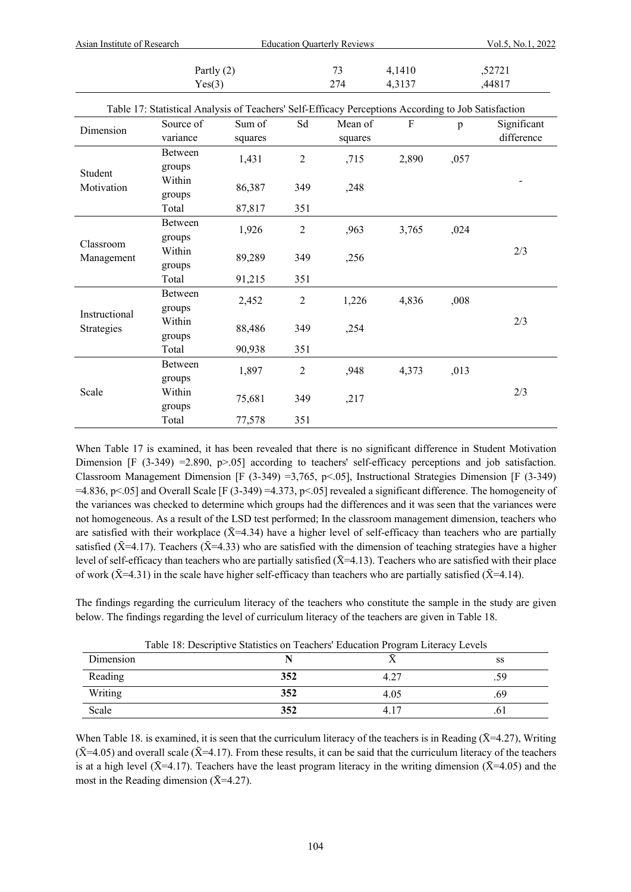| Asian Institute of Research |                                                                                                     |         | <b>Education Quarterly Reviews</b> |         |                           |                  | Vol.5, No.1, 2022 |  |  |  |
|-----------------------------|-----------------------------------------------------------------------------------------------------|---------|------------------------------------|---------|---------------------------|------------------|-------------------|--|--|--|
| Partly $(2)$<br>Yes(3)      |                                                                                                     |         | 73<br>274                          |         | 4,1410<br>4,3137          | ,52721<br>,44817 |                   |  |  |  |
|                             | Table 17: Statistical Analysis of Teachers' Self-Efficacy Perceptions According to Job Satisfaction |         |                                    |         |                           |                  |                   |  |  |  |
| Dimension                   | Source of                                                                                           | Sum of  | Sd                                 | Mean of | $\boldsymbol{\mathrm{F}}$ | p                | Significant       |  |  |  |
|                             | variance                                                                                            | squares |                                    | squares |                           |                  | difference        |  |  |  |
|                             | Between                                                                                             | 1,431   | $\overline{2}$                     | ,715    | 2,890                     | ,057             |                   |  |  |  |
| Student                     | groups                                                                                              |         |                                    |         |                           |                  |                   |  |  |  |
| Motivation                  | Within                                                                                              | 86,387  | 349                                |         |                           |                  |                   |  |  |  |
|                             | groups                                                                                              |         |                                    | ,248    |                           |                  |                   |  |  |  |
|                             | Total                                                                                               | 87,817  | 351                                |         |                           |                  |                   |  |  |  |
|                             | Between                                                                                             | 1,926   | $\overline{2}$                     | ,963    | 3,765                     | ,024             |                   |  |  |  |
| Classroom                   | groups                                                                                              |         |                                    |         |                           |                  |                   |  |  |  |
| Management                  | Within                                                                                              | 89,289  | 349                                | ,256    |                           |                  | 2/3               |  |  |  |
|                             | groups                                                                                              |         |                                    |         |                           |                  |                   |  |  |  |
|                             | Total                                                                                               | 91,215  | 351                                |         |                           |                  |                   |  |  |  |
|                             | Between                                                                                             | 2,452   | $\overline{c}$                     | 1,226   | 4,836                     | ,008             |                   |  |  |  |
| Instructional               | groups                                                                                              |         |                                    |         |                           |                  |                   |  |  |  |
| Strategies                  | Within                                                                                              | 88,486  | 349                                | ,254    |                           |                  | 2/3               |  |  |  |
|                             | groups                                                                                              |         |                                    |         |                           |                  |                   |  |  |  |
|                             | Total                                                                                               | 90,938  | 351                                |         |                           |                  |                   |  |  |  |
|                             | Between                                                                                             | 1,897   | $\overline{c}$                     | ,948    | 4,373                     | ,013             |                   |  |  |  |
|                             | groups                                                                                              |         |                                    |         |                           |                  |                   |  |  |  |
| Scale                       | Within                                                                                              | 75,681  |                                    | ,217    |                           |                  | 2/3               |  |  |  |
|                             | groups                                                                                              |         | 349                                |         |                           |                  |                   |  |  |  |
|                             | Total                                                                                               | 77,578  | 351                                |         |                           |                  |                   |  |  |  |

When Table 17 is examined, it has been revealed that there is no significant difference in Student Motivation Dimension  $[F (3-349) = 2.890, p > .05]$  according to teachers' self-efficacy perceptions and job satisfaction. Classroom Management Dimension [F (3-349) =3,765, p<.05], Instructional Strategies Dimension [F (3-349)  $=4.836$ , p<.05] and Overall Scale [F (3-349)  $=4.373$ , p<.05] revealed a significant difference. The homogeneity of the variances was checked to determine which groups had the differences and it was seen that the variances were not homogeneous. As a result of the LSD test performed; In the classroom management dimension, teachers who are satisfied with their workplace  $(\bar{X}=4.34)$  have a higher level of self-efficacy than teachers who are partially satisfied ( $\bar{X}$ =4.17). Teachers ( $\bar{X}$ =4.33) who are satisfied with the dimension of teaching strategies have a higher level of self-efficacy than teachers who are partially satisfied  $(\bar{X}=4.13)$ . Teachers who are satisfied with their place of work ( $\bar{X}$ =4.31) in the scale have higher self-efficacy than teachers who are partially satisfied ( $\bar{X}$ =4.14).

The findings regarding the curriculum literacy of the teachers who constitute the sample in the study are given below. The findings regarding the level of curriculum literacy of the teachers are given in Table 18.

| Dimension | Table 18: Descriptive Statistics on Teachers' Education Program Literacy Levels |      | SS  |
|-----------|---------------------------------------------------------------------------------|------|-----|
| Reading   | 352                                                                             | 4.27 |     |
| Writing   | 352                                                                             | 4.05 | .69 |
| Scale     | 352                                                                             | 4 17 |     |

Table 18: Descriptive Statistics on Teachers' Education Program Literacy Levels

When Table 18. is examined, it is seen that the curriculum literacy of the teachers is in Reading ( $\bar{X}$ =4.27), Writing  $(\bar{X} = 4.05)$  and overall scale  $(\bar{X} = 4.17)$ . From these results, it can be said that the curriculum literacy of the teachers is at a high level ( $\bar{X}$ =4.17). Teachers have the least program literacy in the writing dimension ( $\bar{X}$ =4.05) and the most in the Reading dimension  $(\bar{X}=4.27)$ .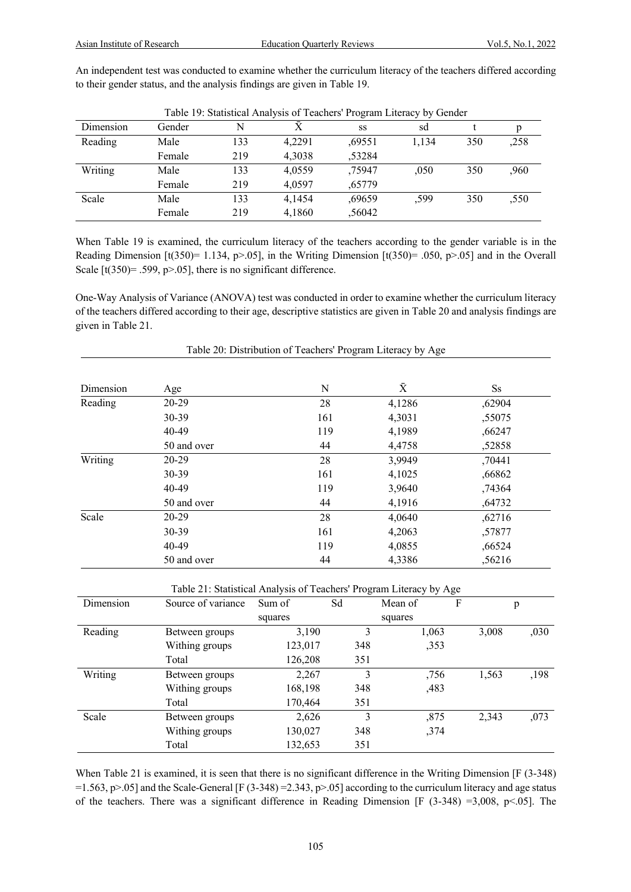An independent test was conducted to examine whether the curriculum literacy of the teachers differed according to their gender status, and the analysis findings are given in Table 19.

|           | Table 19. Statistical Aliatysis of Feachers Trogram Enclacy by Octider |     |        |        |       |     |      |
|-----------|------------------------------------------------------------------------|-----|--------|--------|-------|-----|------|
| Dimension | Gender                                                                 | N   | X      | SS     | sd    |     |      |
| Reading   | Male                                                                   | 133 | 4.2291 | ,69551 | 1.134 | 350 | ,258 |
|           | Female                                                                 | 219 | 4,3038 | ,53284 |       |     |      |
| Writing   | Male                                                                   | 133 | 4.0559 | .75947 | .050  | 350 | ,960 |
|           | Female                                                                 | 219 | 4.0597 | ,65779 |       |     |      |
| Scale     | Male                                                                   | 133 | 4.1454 | ,69659 | .599  | 350 | ,550 |
|           | Female                                                                 | 219 | 4,1860 | ,56042 |       |     |      |

Table 19: Statistical Analysis of Teachers' Program Literacy by Gender

When Table 19 is examined, the curriculum literacy of the teachers according to the gender variable is in the Reading Dimension  $[t(350)= 1.134, p>0.05]$ , in the Writing Dimension  $[t(350)= .050, p>0.05]$  and in the Overall Scale  $[t(350)= .599, p> .05]$ , there is no significant difference.

One-Way Analysis of Variance (ANOVA) test was conducted in order to examine whether the curriculum literacy of the teachers differed according to their age, descriptive statistics are given in Table 20 and analysis findings are given in Table 21.

| Dimension | Age         | N   | $\bar{X}$ | $S_{S}$ |
|-----------|-------------|-----|-----------|---------|
| Reading   | $20-29$     | 28  | 4,1286    | ,62904  |
|           | $30 - 39$   | 161 | 4,3031    | ,55075  |
|           | 40-49       | 119 | 4,1989    | ,66247  |
|           | 50 and over | 44  | 4,4758    | ,52858  |
| Writing   | $20-29$     | 28  | 3,9949    | ,70441  |
|           | $30 - 39$   | 161 | 4,1025    | ,66862  |
|           | $40 - 49$   | 119 | 3,9640    | ,74364  |
|           | 50 and over | 44  | 4,1916    | ,64732  |
| Scale     | $20-29$     | 28  | 4,0640    | ,62716  |
|           | $30 - 39$   | 161 | 4,2063    | ,57877  |
|           | 40-49       | 119 | 4,0855    | ,66524  |
|           | 50 and over | 44  | 4,3386    | ,56216  |

Table 20: Distribution of Teachers' Program Literacy by Age

Table 21: Statistical Analysis of Teachers' Program Literacy by Age

| Dimension | Source of variance | Sum of  | Sd  | Mean of | F |       | p    |
|-----------|--------------------|---------|-----|---------|---|-------|------|
|           |                    | squares |     | squares |   |       |      |
| Reading   | Between groups     | 3,190   | 3   | 1,063   |   | 3,008 | ,030 |
|           | Withing groups     | 123,017 | 348 | ,353    |   |       |      |
|           | Total              | 126,208 | 351 |         |   |       |      |
| Writing   | Between groups     | 2,267   | 3   | ,756    |   | 1,563 | ,198 |
|           | Withing groups     | 168,198 | 348 | ,483    |   |       |      |
|           | Total              | 170,464 | 351 |         |   |       |      |
| Scale     | Between groups     | 2,626   | 3   | ,875    |   | 2,343 | ,073 |
|           | Withing groups     | 130,027 | 348 | ,374    |   |       |      |
|           | Total              | 132,653 | 351 |         |   |       |      |

When Table 21 is examined, it is seen that there is no significant difference in the Writing Dimension [F (3-348) =1.563, p>.05] and the Scale-General [F (3-348) = 2.343, p>.05] according to the curriculum literacy and age status of the teachers. There was a significant difference in Reading Dimension [F  $(3-348) = 3,008$ , p<.05]. The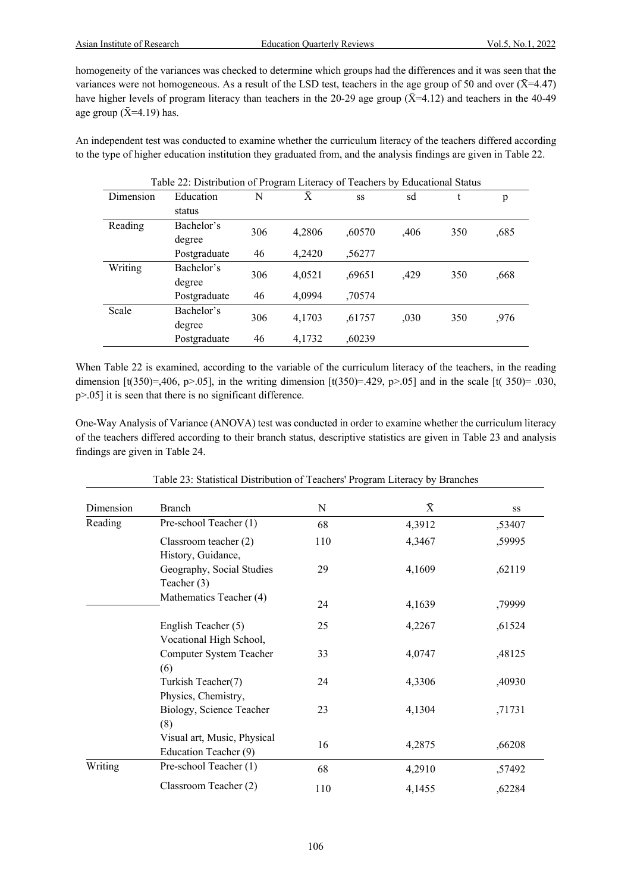homogeneity of the variances was checked to determine which groups had the differences and it was seen that the variances were not homogeneous. As a result of the LSD test, teachers in the age group of 50 and over  $(\bar{X}=4.47)$ have higher levels of program literacy than teachers in the 20-29 age group ( $\bar{X}$ =4.12) and teachers in the 40-49 age group  $({\bar X} = 4.19)$  has.

An independent test was conducted to examine whether the curriculum literacy of the teachers differed according to the type of higher education institution they graduated from, and the analysis findings are given in Table 22.

| Table 22: Distribution of Program Literacy of Teachers by Educational Status |              |     |        |        |      |     |      |
|------------------------------------------------------------------------------|--------------|-----|--------|--------|------|-----|------|
| Dimension                                                                    | Education    | N   | Ā      | SS     | sd   | t   | p    |
|                                                                              | status       |     |        |        |      |     |      |
| Reading                                                                      | Bachelor's   | 306 |        |        |      | 350 |      |
|                                                                              | degree       |     | 4,2806 | ,60570 | ,406 |     | ,685 |
|                                                                              | Postgraduate | 46  | 4,2420 | ,56277 |      |     |      |
| Writing                                                                      | Bachelor's   | 306 |        |        |      | 350 |      |
|                                                                              | degree       |     | 4,0521 | ,69651 | ,429 |     | ,668 |
|                                                                              | Postgraduate | 46  | 4,0994 | ,70574 |      |     |      |
| Scale                                                                        | Bachelor's   | 306 |        |        |      | 350 |      |
|                                                                              | degree       |     | 4,1703 | ,61757 | ,030 |     | ,976 |
|                                                                              | Postgraduate | 46  | 4,1732 | ,60239 |      |     |      |

When Table 22 is examined, according to the variable of the curriculum literacy of the teachers, in the reading dimension [t(350)=,406, p>.05], in the writing dimension [t(350)=.429, p>.05] and in the scale [t( 350)= .030, p>.05] it is seen that there is no significant difference.

One-Way Analysis of Variance (ANOVA) test was conducted in order to examine whether the curriculum literacy of the teachers differed according to their branch status, descriptive statistics are given in Table 23 and analysis findings are given in Table 24.

| Dimension | Branch                                               | N   | $\bar{X}$ | SS     |
|-----------|------------------------------------------------------|-----|-----------|--------|
| Reading   | Pre-school Teacher (1)                               | 68  | 4,3912    | ,53407 |
|           | Classroom teacher (2)<br>History, Guidance,          | 110 | 4,3467    | ,59995 |
|           | Geography, Social Studies<br>Teacher (3)             | 29  | 4,1609    | ,62119 |
|           | Mathematics Teacher (4)                              | 24  | 4,1639    | ,79999 |
|           | English Teacher (5)<br>Vocational High School,       | 25  | 4,2267    | ,61524 |
|           | Computer System Teacher<br>(6)                       | 33  | 4,0747    | ,48125 |
|           | Turkish Teacher(7)<br>Physics, Chemistry,            | 24  | 4,3306    | ,40930 |
|           | Biology, Science Teacher<br>(8)                      | 23  | 4,1304    | ,71731 |
|           | Visual art, Music, Physical<br>Education Teacher (9) | 16  | 4,2875    | ,66208 |
| Writing   | Pre-school Teacher (1)                               | 68  | 4,2910    | ,57492 |
|           | Classroom Teacher (2)                                | 110 | 4,1455    | ,62284 |

Table 23: Statistical Distribution of Teachers' Program Literacy by Branches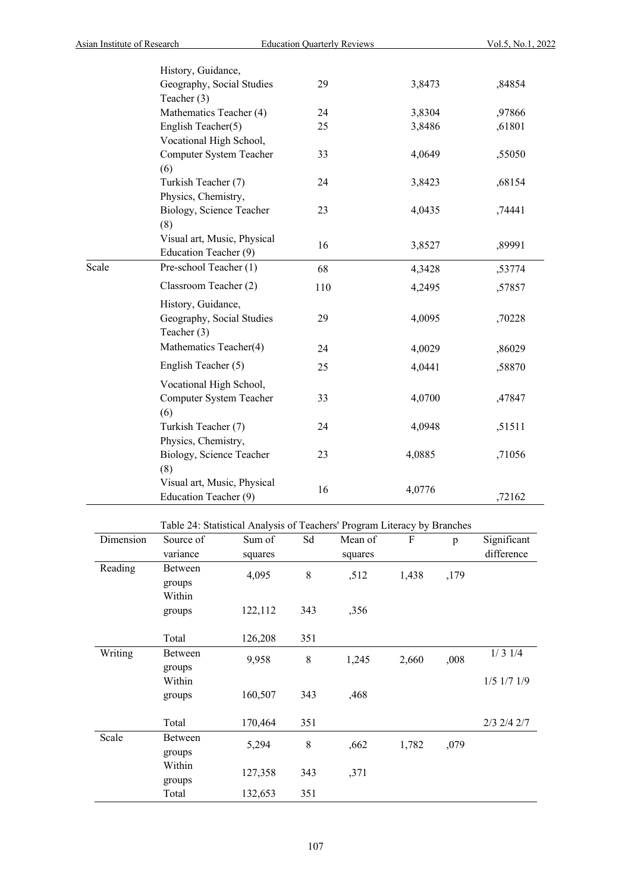|       | History, Guidance,          |     |        |        |
|-------|-----------------------------|-----|--------|--------|
|       | Geography, Social Studies   | 29  | 3,8473 | ,84854 |
|       | Teacher (3)                 |     |        |        |
|       | Mathematics Teacher (4)     | 24  | 3,8304 | ,97866 |
|       | English Teacher(5)          | 25  | 3,8486 | ,61801 |
|       | Vocational High School,     |     |        |        |
|       | Computer System Teacher     | 33  | 4,0649 | ,55050 |
|       | (6)                         |     |        |        |
|       | Turkish Teacher (7)         | 24  | 3,8423 | ,68154 |
|       | Physics, Chemistry,         |     |        |        |
|       | Biology, Science Teacher    | 23  | 4,0435 | ,74441 |
|       | (8)                         |     |        |        |
|       | Visual art, Music, Physical | 16  | 3,8527 | ,89991 |
|       | Education Teacher (9)       |     |        |        |
| Scale | Pre-school Teacher (1)      | 68  | 4,3428 | ,53774 |
|       | Classroom Teacher (2)       | 110 | 4,2495 | ,57857 |
|       | History, Guidance,          |     |        |        |
|       | Geography, Social Studies   | 29  | 4,0095 | ,70228 |
|       | Teacher (3)                 |     |        |        |
|       | Mathematics Teacher(4)      | 24  | 4,0029 | ,86029 |
|       | English Teacher (5)         | 25  | 4,0441 | ,58870 |
|       | Vocational High School,     |     |        |        |
|       | Computer System Teacher     | 33  | 4,0700 | ,47847 |
|       | (6)                         |     |        |        |
|       | Turkish Teacher (7)         | 24  | 4,0948 | ,51511 |
|       | Physics, Chemistry,         |     |        |        |
|       | Biology, Science Teacher    | 23  | 4,0885 | ,71056 |
|       | (8)                         |     |        |        |
|       | Visual art, Music, Physical | 16  | 4,0776 |        |
|       | Education Teacher (9)       |     |        | ,72162 |

Table 24: Statistical Analysis of Teachers' Program Literacy by Branches

| Dimension | Source of | Sum of  | Sd        | Mean of | ${\bf F}$ | p    | Significant       |
|-----------|-----------|---------|-----------|---------|-----------|------|-------------------|
|           | variance  | squares |           | squares |           |      | difference        |
| Reading   | Between   | 4,095   | $8\,$     | ,512    | 1,438     | ,179 |                   |
|           | groups    |         |           |         |           |      |                   |
|           | Within    |         |           |         |           |      |                   |
|           | groups    | 122,112 | 343       | ,356    |           |      |                   |
|           |           |         |           |         |           |      |                   |
|           | Total     | 126,208 | 351       |         |           |      |                   |
| Writing   | Between   | 9,958   | $8\,$     | 1,245   | 2,660     | ,008 | 1/31/4            |
|           | groups    |         |           |         |           |      |                   |
|           | Within    |         |           |         |           |      | $1/5$ $1/7$ $1/9$ |
|           | groups    | 160,507 | 343       | ,468    |           |      |                   |
|           |           |         |           |         |           |      |                   |
|           | Total     | 170,464 | 351       |         |           |      | $2/3$ $2/4$ $2/7$ |
| Scale     | Between   | 5,294   | $\,$ $\,$ | ,662    | 1,782     | ,079 |                   |
|           | groups    |         |           |         |           |      |                   |
|           | Within    | 127,358 | 343       | ,371    |           |      |                   |
|           | groups    |         |           |         |           |      |                   |
|           | Total     | 132,653 | 351       |         |           |      |                   |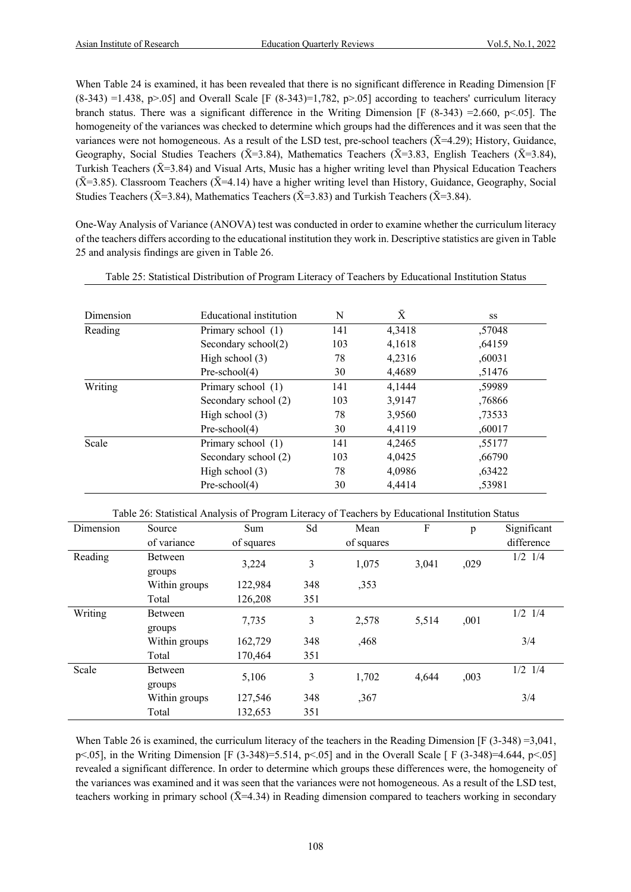When Table 24 is examined, it has been revealed that there is no significant difference in Reading Dimension [F  $(8-343) = 1.438$ , p>.05] and Overall Scale [F  $(8-343)=1,782$ , p>.05] according to teachers' curriculum literacy branch status. There was a significant difference in the Writing Dimension  $[F (8-343) = 2.660, p \le 0.05]$ . The homogeneity of the variances was checked to determine which groups had the differences and it was seen that the variances were not homogeneous. As a result of the LSD test, pre-school teachers  $(\bar{X}=4.29)$ ; History, Guidance, Geography, Social Studies Teachers ( $\bar{X}$ =3.84), Mathematics Teachers ( $\bar{X}$ =3.83, English Teachers ( $\bar{X}$ =3.84), Turkish Teachers ( $\bar{X}$ =3.84) and Visual Arts, Music has a higher writing level than Physical Education Teachers  $(\bar{X}=3.85)$ . Classroom Teachers ( $\bar{X}=4.14$ ) have a higher writing level than History, Guidance, Geography, Social Studies Teachers ( $\bar{X}$ =3.84), Mathematics Teachers ( $\bar{X}$ =3.83) and Turkish Teachers ( $\bar{X}$ =3.84).

One-Way Analysis of Variance (ANOVA) test was conducted in order to examine whether the curriculum literacy of the teachers differs according to the educational institution they work in. Descriptive statistics are given in Table 25 and analysis findings are given in Table 26.

| Dimension | Educational institution | N   | Ā      | <b>SS</b> |
|-----------|-------------------------|-----|--------|-----------|
| Reading   | Primary school (1)      | 141 | 4,3418 | ,57048    |
|           | Secondary school(2)     | 103 | 4,1618 | ,64159    |
|           | High school $(3)$       | 78  | 4,2316 | ,60031    |
|           | $Pre-school(4)$         | 30  | 4,4689 | ,51476    |
| Writing   | Primary school (1)      | 141 | 4.1444 | ,59989    |
|           | Secondary school (2)    | 103 | 3,9147 | .76866    |
|           | High school $(3)$       | 78  | 3,9560 | ,73533    |
|           | $Pre-school(4)$         | 30  | 4,4119 | ,60017    |
| Scale     | Primary school (1)      | 141 | 4,2465 | ,55177    |
|           | Secondary school (2)    | 103 | 4.0425 | ,66790    |
|           | High school $(3)$       | 78  | 4,0986 | ,63422    |
|           | $Pre-school(4)$         | 30  | 4,4414 | ,53981    |

| Table 25: Statistical Distribution of Program Literacy of Teachers by Educational Institution Status |  |  |
|------------------------------------------------------------------------------------------------------|--|--|
|                                                                                                      |  |  |

Table 26: Statistical Analysis of Program Literacy of Teachers by Educational Institution Status

| Dimension | Source        | Sum        | Sd                  | Mean       | F     | p    | Significant |
|-----------|---------------|------------|---------------------|------------|-------|------|-------------|
|           | of variance   | of squares |                     | of squares |       |      | difference  |
| Reading   | Between       | 3,224      | 3                   | 1,075      | 3,041 | ,029 | $1/2$ $1/4$ |
|           | groups        |            |                     |            |       |      |             |
|           | Within groups | 122,984    | 348                 | ,353       |       |      |             |
|           | Total         | 126,208    | 351                 |            |       |      |             |
| Writing   | Between       |            |                     |            | 5,514 | ,001 | $1/2$ $1/4$ |
|           | groups        |            | 3<br>7,735<br>2,578 |            |       |      |             |
|           | Within groups | 162,729    | 348                 | ,468       |       |      | 3/4         |
|           | Total         | 170,464    | 351                 |            |       |      |             |
| Scale     | Between       | 5,106      | 3                   | 1,702      | 4,644 | ,003 | $1/2$ $1/4$ |
|           | groups        |            |                     |            |       |      |             |
|           | Within groups | 127,546    | 348                 | ,367       |       |      | 3/4         |
|           | Total         | 132,653    | 351                 |            |       |      |             |

When Table 26 is examined, the curriculum literacy of the teachers in the Reading Dimension [F (3-348) =3,041, p<.05], in the Writing Dimension [F (3-348)=5.514, p<.05] and in the Overall Scale [ F (3-348)=4.644, p<.05] revealed a significant difference. In order to determine which groups these differences were, the homogeneity of the variances was examined and it was seen that the variances were not homogeneous. As a result of the LSD test, teachers working in primary school  $(\bar{X}=4.34)$  in Reading dimension compared to teachers working in secondary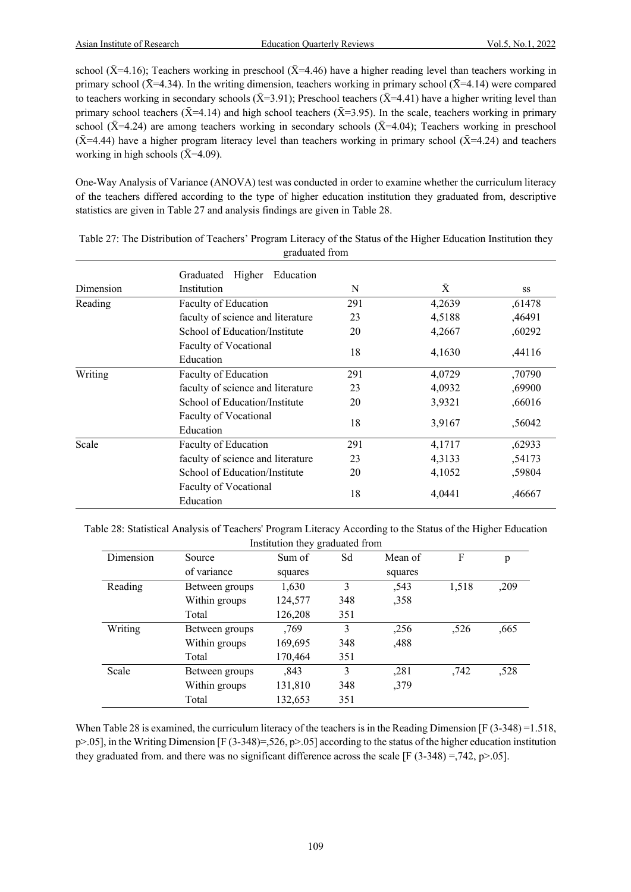school ( $\bar{X}$ =4.16); Teachers working in preschool ( $\bar{X}$ =4.46) have a higher reading level than teachers working in primary school ( $\bar{X}$ =4.34). In the writing dimension, teachers working in primary school ( $\bar{X}$ =4.14) were compared to teachers working in secondary schools ( $\bar{X}$ =3.91); Preschool teachers ( $\bar{X}$ =4.41) have a higher writing level than primary school teachers ( $\bar{X}$ =4.14) and high school teachers ( $\bar{X}$ =3.95). In the scale, teachers working in primary school ( $\bar{X}$ =4.24) are among teachers working in secondary schools ( $\bar{X}$ =4.04); Teachers working in preschool  $(\bar{X}=4.44)$  have a higher program literacy level than teachers working in primary school  $(\bar{X}=4.24)$  and teachers working in high schools  $(\bar{X}=4.09)$ .

One-Way Analysis of Variance (ANOVA) test was conducted in order to examine whether the curriculum literacy of the teachers differed according to the type of higher education institution they graduated from, descriptive statistics are given in Table 27 and analysis findings are given in Table 28.

|           | Graduated<br>Higher<br>Education          |     |        |           |  |  |  |  |
|-----------|-------------------------------------------|-----|--------|-----------|--|--|--|--|
| Dimension | Institution                               | N   | Ā      | <b>SS</b> |  |  |  |  |
| Reading   | Faculty of Education                      | 291 | 4,2639 | ,61478    |  |  |  |  |
|           | faculty of science and literature         | 23  | 4,5188 | ,46491    |  |  |  |  |
|           | School of Education/Institute             | 20  | 4,2667 | ,60292    |  |  |  |  |
|           | Faculty of Vocational<br>Education        | 18  | 4,1630 | ,44116    |  |  |  |  |
| Writing   | Faculty of Education                      | 291 | 4,0729 | ,70790    |  |  |  |  |
|           | faculty of science and literature         | 23  | 4,0932 | ,69900    |  |  |  |  |
|           | School of Education/Institute             | 20  | 3,9321 | ,66016    |  |  |  |  |
|           | <b>Faculty of Vocational</b><br>Education | 18  | 3,9167 | ,56042    |  |  |  |  |
| Scale     | Faculty of Education                      | 291 | 4,1717 | ,62933    |  |  |  |  |
|           | faculty of science and literature         | 23  | 4,3133 | ,54173    |  |  |  |  |
|           | School of Education/Institute             | 20  | 4,1052 | ,59804    |  |  |  |  |
|           | Faculty of Vocational<br>Education        | 18  | 4,0441 | ,46667    |  |  |  |  |

| Table 27: The Distribution of Teachers' Program Literacy of the Status of the Higher Education Institution they |  |  |  |  |  |  |
|-----------------------------------------------------------------------------------------------------------------|--|--|--|--|--|--|
| graduated from                                                                                                  |  |  |  |  |  |  |

Table 28: Statistical Analysis of Teachers' Program Literacy According to the Status of the Higher Education Institution they graduated from

|           |                | ے ت     |     |         |       |      |
|-----------|----------------|---------|-----|---------|-------|------|
| Dimension | Source         | Sum of  | Sd  | Mean of | F     | p    |
|           | of variance    | squares |     | squares |       |      |
| Reading   | Between groups | 1,630   | 3   | ,543    | 1,518 | ,209 |
|           | Within groups  | 124,577 | 348 | ,358    |       |      |
|           | Total          | 126,208 | 351 |         |       |      |
| Writing   | Between groups | ,769    | 3   | ,256    | ,526  | ,665 |
|           | Within groups  | 169,695 | 348 | ,488    |       |      |
|           | Total          | 170,464 | 351 |         |       |      |
| Scale     | Between groups | ,843    | 3   | ,281    | ,742  | ,528 |
|           | Within groups  | 131,810 | 348 | ,379    |       |      |
|           | Total          | 132,653 | 351 |         |       |      |
|           |                |         |     |         |       |      |

When Table 28 is examined, the curriculum literacy of the teachers is in the Reading Dimension [F (3-348) = 1.518,  $p > 0.05$ ], in the Writing Dimension [F (3-348)=,526,  $p > 0.05$ ] according to the status of the higher education institution they graduated from. and there was no significant difference across the scale [F (3-348) =,742, p>.05].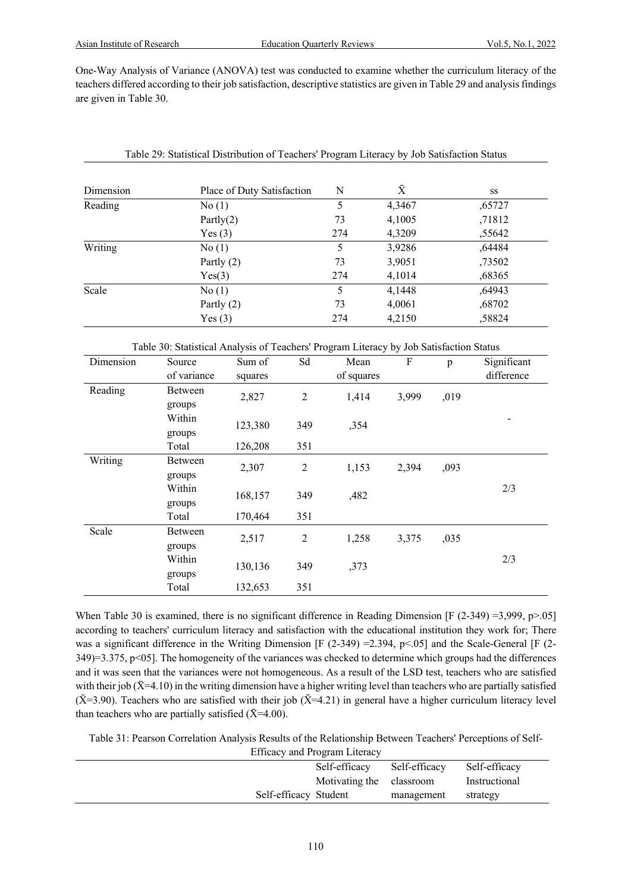One-Way Analysis of Variance (ANOVA) test was conducted to examine whether the curriculum literacy of the teachers differed according to their job satisfaction, descriptive statistics are given in Table 29 and analysis findings are given in Table 30.

| Dimension | Place of Duty Satisfaction | N   | $\bar{X}$ | SS     |
|-----------|----------------------------|-----|-----------|--------|
| Reading   | No(1)                      | 5   | 4,3467    | ,65727 |
|           | Partly $(2)$               | 73  | 4,1005    | ,71812 |
|           | Yes(3)                     | 274 | 4,3209    | ,55642 |
| Writing   | No(1)                      | 5   | 3,9286    | ,64484 |
|           | Partly $(2)$               | 73  | 3,9051    | ,73502 |
|           | Yes(3)                     | 274 | 4,1014    | ,68365 |
| Scale     | No(1)                      | 5   | 4,1448    | ,64943 |
|           | Partly $(2)$               | 73  | 4,0061    | ,68702 |
|           | Yes(3)                     | 274 | 4,2150    | ,58824 |

| Table 29: Statistical Distribution of Teachers' Program Literacy by Job Satisfaction Status |  |
|---------------------------------------------------------------------------------------------|--|
|                                                                                             |  |

|  | Table 30: Statistical Analysis of Teachers' Program Literacy by Job Satisfaction Status |
|--|-----------------------------------------------------------------------------------------|
|  |                                                                                         |

| Dimension | Source      | Sum of  | Sd             | Mean                    | $\boldsymbol{\mathrm{F}}$ | p    | Significant |
|-----------|-------------|---------|----------------|-------------------------|---------------------------|------|-------------|
|           | of variance | squares |                | of squares              |                           |      | difference  |
| Reading   | Between     |         |                |                         |                           |      |             |
|           | groups      | 2,827   | $\overline{2}$ | 1,414                   | 3,999                     | ,019 |             |
|           | Within      | 123,380 | 349            | ,354                    |                           |      |             |
|           | groups      |         |                |                         |                           |      |             |
|           | Total       | 126,208 | 351            |                         |                           |      |             |
| Writing   | Between     | 2,307   | $\overline{2}$ | 1,153                   | 2,394                     | ,093 |             |
|           | groups      |         |                |                         |                           |      |             |
|           | Within      | 168,157 | 349            | ,482                    |                           |      | 2/3         |
|           | groups      |         |                |                         |                           |      |             |
|           | Total       | 170,464 | 351            |                         |                           |      |             |
| Scale     | Between     | 2,517   |                | $\overline{2}$<br>1,258 | 3,375                     | ,035 |             |
|           | groups      |         |                |                         |                           |      |             |
|           | Within      |         | 349            |                         |                           |      | 2/3         |
|           | groups      | 130,136 |                | ,373                    |                           |      |             |
|           | Total       | 132,653 | 351            |                         |                           |      |             |

When Table 30 is examined, there is no significant difference in Reading Dimension  $[F (2-349) = 3,999, p > .05]$ according to teachers' curriculum literacy and satisfaction with the educational institution they work for; There was a significant difference in the Writing Dimension  $[F (2-349) = 2.394, p < 0.05]$  and the Scale-General  $[F (2-349) = 2.394, p < 0.05]$  $349$ )=3.375, p<05]. The homogeneity of the variances was checked to determine which groups had the differences and it was seen that the variances were not homogeneous. As a result of the LSD test, teachers who are satisfied with their job ( $\bar{X}$ =4.10) in the writing dimension have a higher writing level than teachers who are partially satisfied ( $\bar{X}$ =3.90). Teachers who are satisfied with their job ( $\bar{X}$ =4.21) in general have a higher curriculum literacy level than teachers who are partially satisfied  $(\bar{X}=4.00)$ .

Table 31: Pearson Correlation Analysis Results of the Relationship Between Teachers' Perceptions of Self-

|                       | Efficacy and Program Literacy |               |               |
|-----------------------|-------------------------------|---------------|---------------|
|                       | Self-efficacy                 | Self-efficacy | Self-efficacy |
|                       | Motivating the classroom      |               | Instructional |
| Self-efficacy Student |                               | management    | strategy      |
|                       |                               |               |               |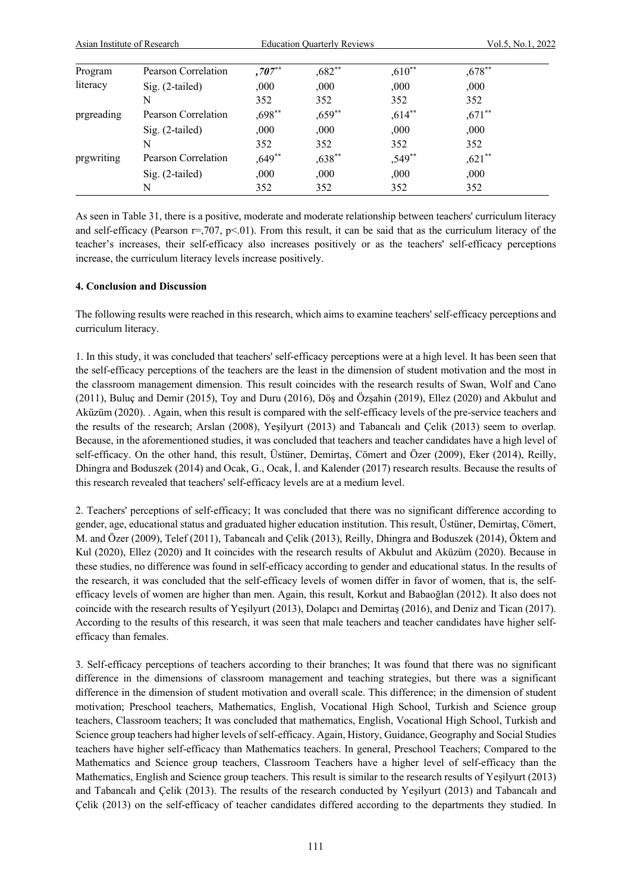| Asian Institute of Research |                     |           | <b>Education Quarterly Reviews</b> |           | Vol.5, No.1, 2022 |  |
|-----------------------------|---------------------|-----------|------------------------------------|-----------|-------------------|--|
| Program                     | Pearson Correlation | $,707**$  | $,682**$                           | $,610**$  | $,678$ **         |  |
| literacy                    | $Sig. (2-tailed)$   | ,000      | ,000.                              | ,000      | ,000              |  |
|                             | N                   | 352       | 352                                | 352       | 352               |  |
| prgreading                  | Pearson Correlation | $,698$ ** | $,659$ **                          | $,614$ ** | $,671$ **         |  |
|                             | $Sig. (2-tailed)$   | ,000      | ,000.                              | ,000,     | ,000              |  |
|                             | N                   | 352       | 352                                | 352       | 352               |  |
| prgwriting                  | Pearson Correlation | $,649$ ** | $,638$ **                          | $,549$ ** | $,621$ **         |  |
|                             | $Sig. (2-tailed)$   | ,000      | ,000.                              | ,000      | ,000              |  |
|                             | N                   | 352       | 352                                | 352       | 352               |  |

As seen in Table 31, there is a positive, moderate and moderate relationship between teachers' curriculum literacy and self-efficacy (Pearson  $r=707$ ,  $p<01$ ). From this result, it can be said that as the curriculum literacy of the teacher's increases, their self-efficacy also increases positively or as the teachers' self-efficacy perceptions increase, the curriculum literacy levels increase positively.

# **4. Conclusion and Discussion**

The following results were reached in this research, which aims to examine teachers' self-efficacy perceptions and curriculum literacy.

1. In this study, it was concluded that teachers' self-efficacy perceptions were at a high level. It has been seen that the self-efficacy perceptions of the teachers are the least in the dimension of student motivation and the most in the classroom management dimension. This result coincides with the research results of Swan, Wolf and Cano (2011), Buluç and Demir (2015), Toy and Duru (2016), Döş and Özşahin (2019), Ellez (2020) and Akbulut and Aküzüm (2020). . Again, when this result is compared with the self-efficacy levels of the pre-service teachers and the results of the research; Arslan (2008), Yeşilyurt (2013) and Tabancalı and Çelik (2013) seem to overlap. Because, in the aforementioned studies, it was concluded that teachers and teacher candidates have a high level of self-efficacy. On the other hand, this result, Üstüner, Demirtaş, Cömert and Özer (2009), Eker (2014), Reilly, Dhingra and Boduszek (2014) and Ocak, G., Ocak, İ. and Kalender (2017) research results. Because the results of this research revealed that teachers' self-efficacy levels are at a medium level.

2. Teachers' perceptions of self-efficacy; It was concluded that there was no significant difference according to gender, age, educational status and graduated higher education institution. This result, Üstüner, Demirtaş, Cömert, M. and Özer (2009), Telef (2011), Tabancalı and Çelik (2013), Reilly, Dhingra and Boduszek (2014), Öktem and Kul (2020), Ellez (2020) and It coincides with the research results of Akbulut and Aküzüm (2020). Because in these studies, no difference was found in self-efficacy according to gender and educational status. In the results of the research, it was concluded that the self-efficacy levels of women differ in favor of women, that is, the selfefficacy levels of women are higher than men. Again, this result, Korkut and Babaoğlan (2012). It also does not coincide with the research results of Yeşilyurt (2013), Dolapcı and Demirtaş (2016), and Deniz and Tican (2017). According to the results of this research, it was seen that male teachers and teacher candidates have higher selfefficacy than females.

3. Self-efficacy perceptions of teachers according to their branches; It was found that there was no significant difference in the dimensions of classroom management and teaching strategies, but there was a significant difference in the dimension of student motivation and overall scale. This difference; in the dimension of student motivation; Preschool teachers, Mathematics, English, Vocational High School, Turkish and Science group teachers, Classroom teachers; It was concluded that mathematics, English, Vocational High School, Turkish and Science group teachers had higher levels of self-efficacy. Again, History, Guidance, Geography and Social Studies teachers have higher self-efficacy than Mathematics teachers. In general, Preschool Teachers; Compared to the Mathematics and Science group teachers, Classroom Teachers have a higher level of self-efficacy than the Mathematics, English and Science group teachers. This result is similar to the research results of Yeşilyurt (2013) and Tabancalı and Çelik (2013). The results of the research conducted by Yeşilyurt (2013) and Tabancalı and Çelik (2013) on the self-efficacy of teacher candidates differed according to the departments they studied. In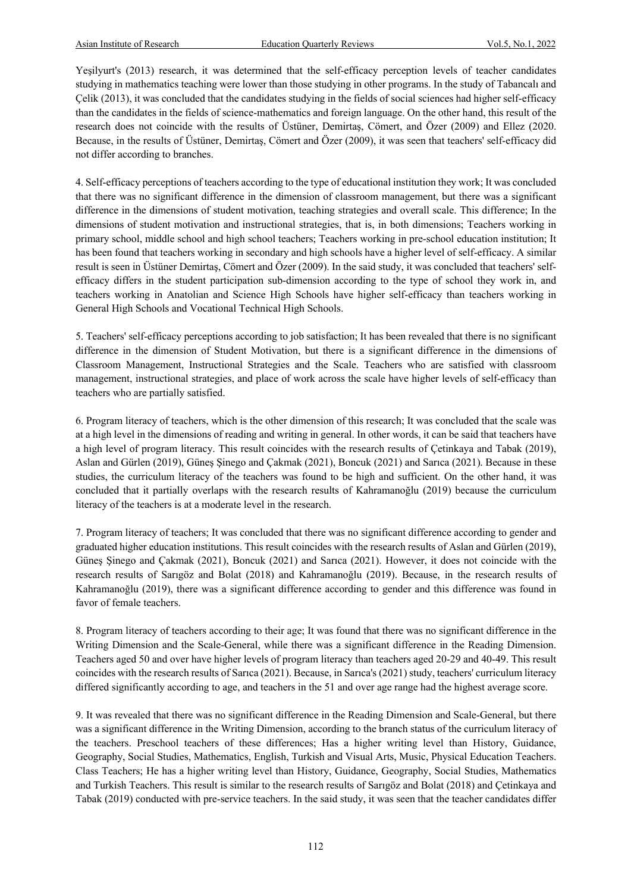Yeşilyurt's (2013) research, it was determined that the self-efficacy perception levels of teacher candidates studying in mathematics teaching were lower than those studying in other programs. In the study of Tabancalı and Çelik (2013), it was concluded that the candidates studying in the fields of social sciences had higher self-efficacy than the candidates in the fields of science-mathematics and foreign language. On the other hand, this result of the research does not coincide with the results of Üstüner, Demirtaş, Cömert, and Özer (2009) and Ellez (2020. Because, in the results of Üstüner, Demirtaş, Cömert and Özer (2009), it was seen that teachers' self-efficacy did not differ according to branches.

4. Self-efficacy perceptions of teachers according to the type of educational institution they work; It was concluded that there was no significant difference in the dimension of classroom management, but there was a significant difference in the dimensions of student motivation, teaching strategies and overall scale. This difference; In the dimensions of student motivation and instructional strategies, that is, in both dimensions; Teachers working in primary school, middle school and high school teachers; Teachers working in pre-school education institution; It has been found that teachers working in secondary and high schools have a higher level of self-efficacy. A similar result is seen in Üstüner Demirtaş, Cömert and Özer (2009). In the said study, it was concluded that teachers' selfefficacy differs in the student participation sub-dimension according to the type of school they work in, and teachers working in Anatolian and Science High Schools have higher self-efficacy than teachers working in General High Schools and Vocational Technical High Schools.

5. Teachers' self-efficacy perceptions according to job satisfaction; It has been revealed that there is no significant difference in the dimension of Student Motivation, but there is a significant difference in the dimensions of Classroom Management, Instructional Strategies and the Scale. Teachers who are satisfied with classroom management, instructional strategies, and place of work across the scale have higher levels of self-efficacy than teachers who are partially satisfied.

6. Program literacy of teachers, which is the other dimension of this research; It was concluded that the scale was at a high level in the dimensions of reading and writing in general. In other words, it can be said that teachers have a high level of program literacy. This result coincides with the research results of Çetinkaya and Tabak (2019), Aslan and Gürlen (2019), Güneş Şinego and Çakmak (2021), Boncuk (2021) and Sarıca (2021). Because in these studies, the curriculum literacy of the teachers was found to be high and sufficient. On the other hand, it was concluded that it partially overlaps with the research results of Kahramanoğlu (2019) because the curriculum literacy of the teachers is at a moderate level in the research.

7. Program literacy of teachers; It was concluded that there was no significant difference according to gender and graduated higher education institutions. This result coincides with the research results of Aslan and Gürlen (2019), Güneş Şinego and Çakmak (2021), Boncuk (2021) and Sarıca (2021). However, it does not coincide with the research results of Sarıgöz and Bolat (2018) and Kahramanoğlu (2019). Because, in the research results of Kahramanoğlu (2019), there was a significant difference according to gender and this difference was found in favor of female teachers.

8. Program literacy of teachers according to their age; It was found that there was no significant difference in the Writing Dimension and the Scale-General, while there was a significant difference in the Reading Dimension. Teachers aged 50 and over have higher levels of program literacy than teachers aged 20-29 and 40-49. This result coincides with the research results of Sarıca (2021). Because, in Sarıca's (2021) study, teachers' curriculum literacy differed significantly according to age, and teachers in the 51 and over age range had the highest average score.

9. It was revealed that there was no significant difference in the Reading Dimension and Scale-General, but there was a significant difference in the Writing Dimension, according to the branch status of the curriculum literacy of the teachers. Preschool teachers of these differences; Has a higher writing level than History, Guidance, Geography, Social Studies, Mathematics, English, Turkish and Visual Arts, Music, Physical Education Teachers. Class Teachers; He has a higher writing level than History, Guidance, Geography, Social Studies, Mathematics and Turkish Teachers. This result is similar to the research results of Sarıgöz and Bolat (2018) and Çetinkaya and Tabak (2019) conducted with pre-service teachers. In the said study, it was seen that the teacher candidates differ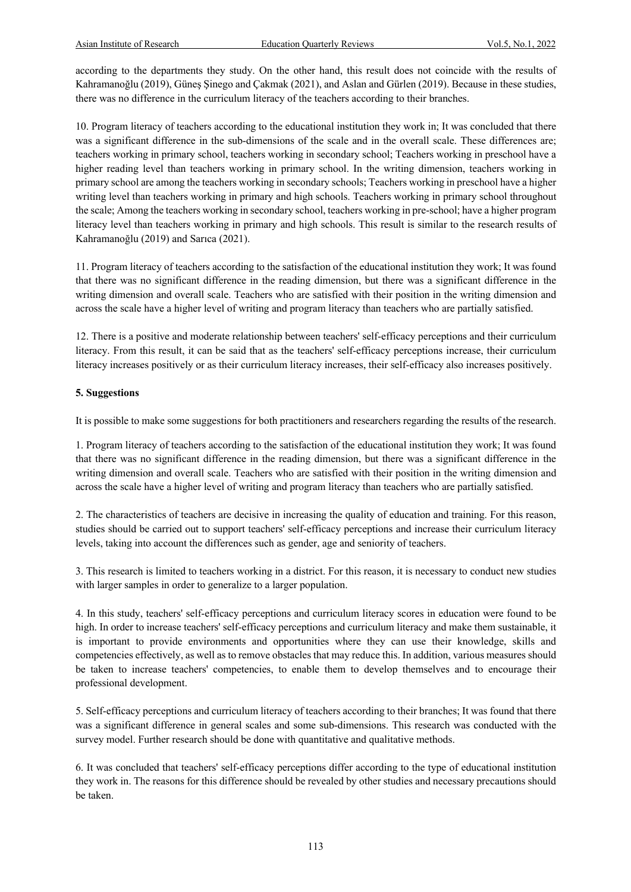according to the departments they study. On the other hand, this result does not coincide with the results of Kahramanoğlu (2019), Güneş Şinego and Çakmak (2021), and Aslan and Gürlen (2019). Because in these studies, there was no difference in the curriculum literacy of the teachers according to their branches.

10. Program literacy of teachers according to the educational institution they work in; It was concluded that there was a significant difference in the sub-dimensions of the scale and in the overall scale. These differences are; teachers working in primary school, teachers working in secondary school; Teachers working in preschool have a higher reading level than teachers working in primary school. In the writing dimension, teachers working in primary school are among the teachers working in secondary schools; Teachers working in preschool have a higher writing level than teachers working in primary and high schools. Teachers working in primary school throughout the scale; Among the teachers working in secondary school, teachers working in pre-school; have a higher program literacy level than teachers working in primary and high schools. This result is similar to the research results of Kahramanoğlu (2019) and Sarıca (2021).

11. Program literacy of teachers according to the satisfaction of the educational institution they work; It was found that there was no significant difference in the reading dimension, but there was a significant difference in the writing dimension and overall scale. Teachers who are satisfied with their position in the writing dimension and across the scale have a higher level of writing and program literacy than teachers who are partially satisfied.

12. There is a positive and moderate relationship between teachers' self-efficacy perceptions and their curriculum literacy. From this result, it can be said that as the teachers' self-efficacy perceptions increase, their curriculum literacy increases positively or as their curriculum literacy increases, their self-efficacy also increases positively.

# **5. Suggestions**

It is possible to make some suggestions for both practitioners and researchers regarding the results of the research.

1. Program literacy of teachers according to the satisfaction of the educational institution they work; It was found that there was no significant difference in the reading dimension, but there was a significant difference in the writing dimension and overall scale. Teachers who are satisfied with their position in the writing dimension and across the scale have a higher level of writing and program literacy than teachers who are partially satisfied.

2. The characteristics of teachers are decisive in increasing the quality of education and training. For this reason, studies should be carried out to support teachers' self-efficacy perceptions and increase their curriculum literacy levels, taking into account the differences such as gender, age and seniority of teachers.

3. This research is limited to teachers working in a district. For this reason, it is necessary to conduct new studies with larger samples in order to generalize to a larger population.

4. In this study, teachers' self-efficacy perceptions and curriculum literacy scores in education were found to be high. In order to increase teachers' self-efficacy perceptions and curriculum literacy and make them sustainable, it is important to provide environments and opportunities where they can use their knowledge, skills and competencies effectively, as well as to remove obstacles that may reduce this. In addition, various measures should be taken to increase teachers' competencies, to enable them to develop themselves and to encourage their professional development.

5. Self-efficacy perceptions and curriculum literacy of teachers according to their branches; It was found that there was a significant difference in general scales and some sub-dimensions. This research was conducted with the survey model. Further research should be done with quantitative and qualitative methods.

6. It was concluded that teachers' self-efficacy perceptions differ according to the type of educational institution they work in. The reasons for this difference should be revealed by other studies and necessary precautions should be taken.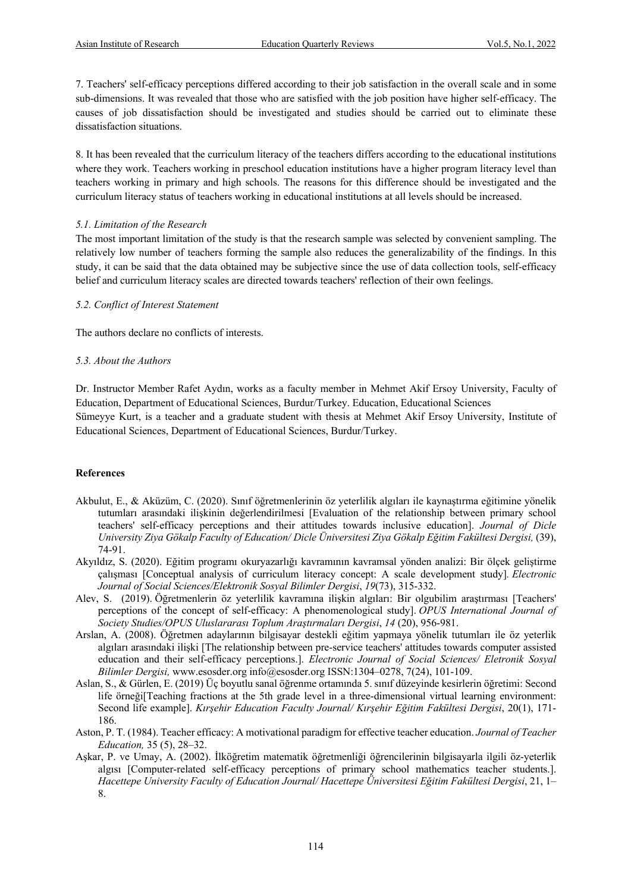7. Teachers' self-efficacy perceptions differed according to their job satisfaction in the overall scale and in some sub-dimensions. It was revealed that those who are satisfied with the job position have higher self-efficacy. The causes of job dissatisfaction should be investigated and studies should be carried out to eliminate these dissatisfaction situations.

8. It has been revealed that the curriculum literacy of the teachers differs according to the educational institutions where they work. Teachers working in preschool education institutions have a higher program literacy level than teachers working in primary and high schools. The reasons for this difference should be investigated and the curriculum literacy status of teachers working in educational institutions at all levels should be increased.

# *5.1. Limitation of the Research*

The most important limitation of the study is that the research sample was selected by convenient sampling. The relatively low number of teachers forming the sample also reduces the generalizability of the findings. In this study, it can be said that the data obtained may be subjective since the use of data collection tools, self-efficacy belief and curriculum literacy scales are directed towards teachers' reflection of their own feelings.

# *5.2. Conflict of Interest Statement*

The authors declare no conflicts of interests.

# *5.3. About the Authors*

Dr. Instructor Member Rafet Aydın, works as a faculty member in Mehmet Akif Ersoy University, Faculty of Education, Department of Educational Sciences, Burdur/Turkey. Education, Educational Sciences Sümeyye Kurt, is a teacher and a graduate student with thesis at Mehmet Akif Ersoy University, Institute of Educational Sciences, Department of Educational Sciences, Burdur/Turkey.

# **References**

- Akbulut, E., & Aküzüm, C. (2020). Sınıf öğretmenlerinin öz yeterlilik algıları ile kaynaştırma eğitimine yönelik tutumları arasındaki ilişkinin değerlendirilmesi [Evaluation of the relationship between primary school teachers' self-efficacy perceptions and their attitudes towards inclusive education]. *Journal of Dicle University Ziya Gökalp Faculty of Education/ Dicle Üniversitesi Ziya Gökalp Eğitim Fakültesi Dergisi,* (39), 74-91.
- Akyıldız, S. (2020). Eğitim programı okuryazarlığı kavramının kavramsal yönden analizi: Bir ölçek geliştirme çalışması [Conceptual analysis of curriculum literacy concept: A scale development study]*. Electronic Journal of Social Sciences/Elektronik Sosyal Bilimler Dergisi*, *19*(73), 315-332.
- Alev, S. (2019). Öğretmenlerin öz yeterlilik kavramına ilişkin algıları: Bir olgubilim araştırması [Teachers' perceptions of the concept of self-efficacy: A phenomenological study]. *OPUS International Journal of Society Studies/OPUS Uluslararası Toplum Araştırmaları Dergisi*, *14* (20), 956-981.
- Arslan, A. (2008). Öğretmen adaylarının bilgisayar destekli eğitim yapmaya yönelik tutumları ile öz yeterlik algıları arasındaki ilişki [The relationship between pre-service teachers' attitudes towards computer assisted education and their self-efficacy perceptions.]. *Electronic Journal of Social Sciences/ Eletronik Sosyal Bilimler Dergisi,* www.esosder.org info@esosder.org ISSN:1304–0278, 7(24), 101-109.
- Aslan, S., & Gürlen, E. (2019) Üç boyutlu sanal öğrenme ortamında 5. sınıf düzeyinde kesirlerin öğretimi: Second life örneği[Teaching fractions at the 5th grade level in a three-dimensional virtual learning environment: Second life example]. *Kırşehir Education Faculty Journal/ Kırşehir Eğitim Fakültesi Dergisi*, 20(1), 171- 186.
- Aston, P. T. (1984). Teacher efficacy: A motivational paradigm for effective teacher education. *Journal of Teacher Education,* 35 (5), 28–32.
- Aşkar, P. ve Umay, A. (2002). İlköğretim matematik öğretmenliği öğrencilerinin bilgisayarla ilgili öz-yeterlik algısı [Computer-related self-efficacy perceptions of primary school mathematics teacher students.]. *Hacettepe University Faculty of Education Journal/ Hacettepe Üniversitesi Eğitim Fakültesi Dergisi*, 21, 1– 8.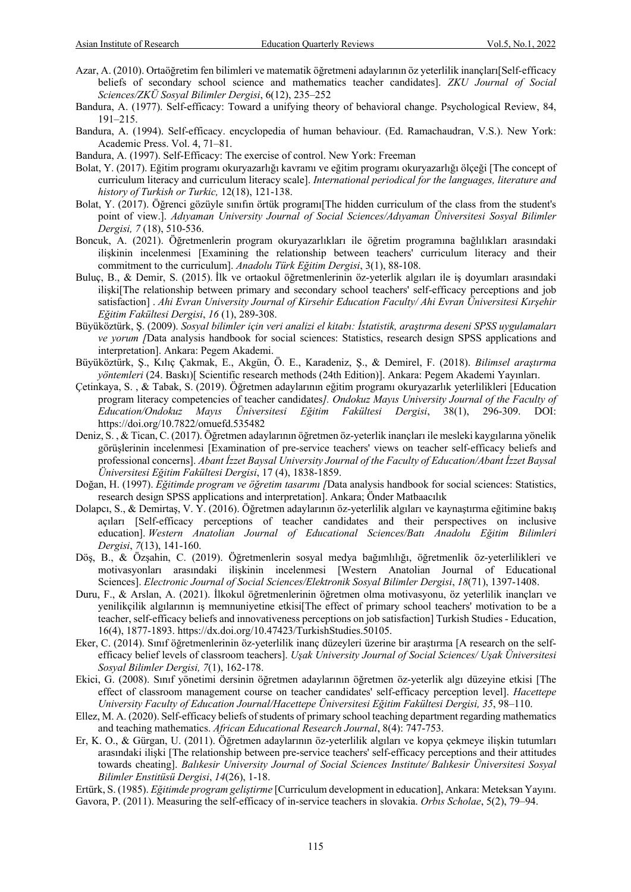- Azar, A. (2010). Ortaöğretim fen bilimleri ve matematik öğretmeni adaylarının öz yeterlilik inançları[Self-efficacy beliefs of secondary school science and mathematics teacher candidates]. *ZKU Journal of Social Sciences/ZKÜ Sosyal Bilimler Dergisi*, 6(12), 235–252
- Bandura, A. (1977). Self-efficacy: Toward a unifying theory of behavioral change. Psychological Review, 84, 191–215.
- Bandura, A. (1994). Self-efficacy. encyclopedia of human behaviour. (Ed. Ramachaudran, V.S.). New York: Academic Press. Vol. 4, 71–81.
- Bandura, A. (1997). Self-Efficacy: The exercise of control. New York: Freeman
- Bolat, Y. (2017). Eğitim programı okuryazarlığı kavramı ve eğitim programı okuryazarlığı ölçeği [The concept of curriculum literacy and curriculum literacy scale]. *International periodical for the languages, literature and history of Turkish or Turkic,* 12(18), 121-138.
- Bolat, Y. (2017). Öğrenci gözüyle sınıfın örtük programı[The hidden curriculum of the class from the student's point of view.]. *Adıyaman University Journal of Social Sciences/Adıyaman Üniversitesi Sosyal Bilimler Dergisi, 7* (18), 510-536.
- Boncuk, A. (2021). Öğretmenlerin program okuryazarlıkları ile öğretim programına bağlılıkları arasındaki ilişkinin incelenmesi [Examining the relationship between teachers' curriculum literacy and their commitment to the curriculum]. *Anadolu Türk Eğitim Dergisi*, 3(1), 88-108.
- Buluç, B., & Demir, S. (2015). İlk ve ortaokul öğretmenlerinin öz-yeterlik algıları ile iş doyumları arasındaki ilişki[The relationship between primary and secondary school teachers' self-efficacy perceptions and job satisfaction] . *Ahi Evran University Journal of Kirsehir Education Faculty/ Ahi Evran Üniversitesi Kırşehir Eğitim Fakültesi Dergisi*, *16* (1), 289-308.
- Büyüköztürk, Ş. (2009). *Sosyal bilimler için veri analizi el kitabı: İstatistik, araştırma deseni SPSS uygulamaları ve yorum [*Data analysis handbook for social sciences: Statistics, research design SPSS applications and interpretation]. Ankara: Pegem Akademi.
- Büyüköztürk, Ş., Kılıç Çakmak, E., Akgün, Ö. E., Karadeniz, Ş., & Demirel, F. (2018). *Bilimsel araştırma yöntemleri* (24. Baskı)[ Scientific research methods (24th Edition)]. Ankara: Pegem Akademi Yayınları.
- Çetinkaya, S. , & Tabak, S. (2019). Öğretmen adaylarının eğitim programı okuryazarlık yeterlilikleri [Education program literacy competencies of teacher candidates*]. Ondokuz Mayıs University Journal of the Faculty of Education/Ondokuz Mayıs Üniversitesi Eğitim Fakültesi Dergisi*, 38(1), 296-309. DOI: https://doi.org/10.7822/omuefd.535482
- Deniz, S. , & Tican, C. (2017). Öğretmen adaylarının öğretmen öz-yeterlik inançları ile mesleki kaygılarına yönelik görüşlerinin incelenmesi [Examination of pre-service teachers' views on teacher self-efficacy beliefs and professional concerns]. *Abant İzzet Baysal University Journal of the Faculty of Education/Abant İzzet Baysal Üniversitesi Eğitim Fakültesi Dergisi*, 17 (4), 1838-1859.
- Doğan, H. (1997). *Eğitimde program ve öğretim tasarımı [*Data analysis handbook for social sciences: Statistics, research design SPSS applications and interpretation]. Ankara; Önder Matbaacılık
- Dolapcı, S., & Demirtaş, V. Y. (2016). Öğretmen adaylarının öz-yeterlilik algıları ve kaynaştırma eğitimine bakış açıları [Self-efficacy perceptions of teacher candidates and their perspectives on inclusive education]. *Western Anatolian Journal of Educational Sciences/Batı Anadolu Eğitim Bilimleri Dergisi*, *7*(13), 141-160.
- Döş, B., & Özşahin, C. (2019). Öğretmenlerin sosyal medya bağımlılığı, öğretmenlik öz-yeterlilikleri ve motivasyonları arasındaki ilişkinin incelenmesi [Western Anatolian Journal of Educational Sciences]. *Electronic Journal of Social Sciences/Elektronik Sosyal Bilimler Dergisi*, *18*(71), 1397-1408.
- Duru, F., & Arslan, A. (2021). İlkokul öğretmenlerinin öğretmen olma motivasyonu, öz yeterlilik inançları ve yenilikçilik algılarının iş memnuniyetine etkisi[The effect of primary school teachers' motivation to be a teacher, self-efficacy beliefs and innovativeness perceptions on job satisfaction] Turkish Studies - Education, 16(4), 1877-1893. https://dx.doi.org/10.47423/TurkishStudies.50105.
- Eker, C. (2014). Sınıf öğretmenlerinin öz-yeterlilik inanç düzeyleri üzerine bir araştırma [A research on the selfefficacy belief levels of classroom teachers]. *Uşak University Journal of Social Sciences/ Uşak Üniversitesi Sosyal Bilimler Dergisi, 7*(1), 162-178.
- Ekici, G. (2008). Sınıf yönetimi dersinin öğretmen adaylarının öğretmen öz-yeterlik algı düzeyine etkisi [The effect of classroom management course on teacher candidates' self-efficacy perception level]. *Hacettepe University Faculty of Education Journal/Hacettepe Üniversitesi Eğitim Fakültesi Dergisi, 35*, 98–110.
- Ellez, M. A. (2020). Self-efficacy beliefs of students of primary school teaching department regarding mathematics and teaching mathematics. *African Educational Research Journal*, 8(4): 747-753.
- Er, K. O., & Gürgan, U. (2011). Öğretmen adaylarının öz-yeterlilik algıları ve kopya çekmeye ilişkin tutumları arasındaki ilişki [The relationship between pre-service teachers' self-efficacy perceptions and their attitudes towards cheating]. *Balıkesir University Journal of Social Sciences Institute/ Balıkesir Üniversitesi Sosyal Bilimler Enstitüsü Dergisi*, *14*(26), 1-18.
- Ertürk, S. (1985). *Eğitimde program geliştirme* [Curriculum development in education], Ankara: Meteksan Yayını. Gavora, P. (2011). Measuring the self-efficacy of in-service teachers in slovakia. *Orbıs Scholae*, 5(2), 79–94.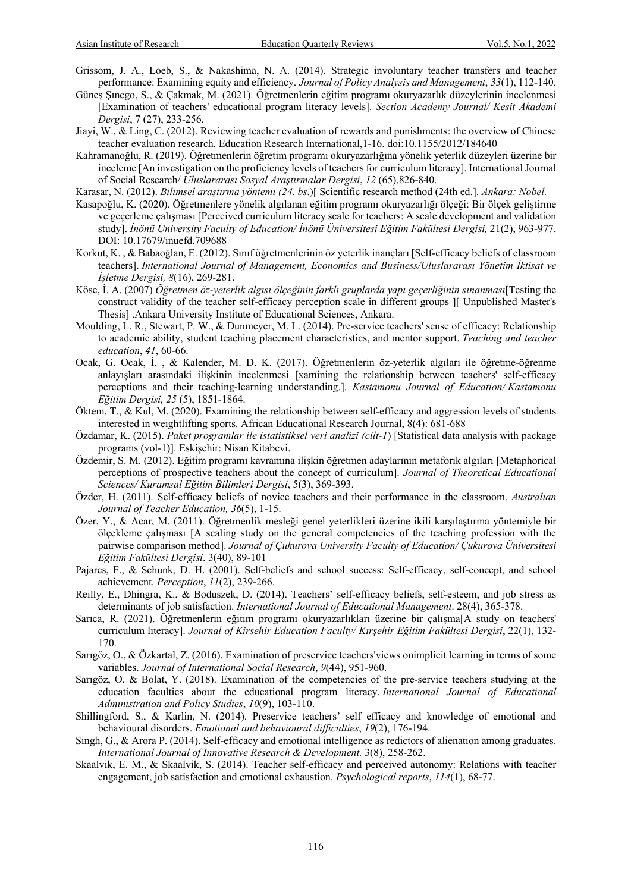- Grissom, J. A., Loeb, S., & Nakashima, N. A. (2014). Strategic involuntary teacher transfers and teacher performance: Examining equity and efficiency. *Journal of Policy Analysis and Management*, *33*(1), 112-140.
- Güneş Şınego, S., & Çakmak, M. (2021). Öğretmenlerin eğitim programı okuryazarlık düzeylerinin incelenmesi [Examination of teachers' educational program literacy levels]. *Section Academy Journal/ Kesit Akademi Dergisi*, 7 (27), 233-256.
- Jiayi, W., & Ling, C. (2012). Reviewing teacher evaluation of rewards and punishments: the overview of Chinese teacher evaluation research. Education Research International,1-16. doi:10.1155/2012/184640
- Kahramanoğlu, R. (2019). Öğretmenlerin öğretim programı okuryazarlığına yönelik yeterlik düzeyleri üzerine bir inceleme [An investigation on the proficiency levels of teachers for curriculum literacy]. International Journal of Social Research/ *Uluslararası Sosyal Araştırmalar Dergisi*, *12* (65).826-840.
- Karasar, N. (2012). *Bilimsel araştırma yöntemi (24. bs*.)[ Scientific research method (24th ed.]. *Ankara: Nobel.*
- Kasapoğlu, K. (2020). Öğretmenlere yönelik algılanan eğitim programı okuryazarlığı ölçeği: Bir ölçek geliştirme ve geçerleme çalışması [Perceived curriculum literacy scale for teachers: A scale development and validation study]. *İnönü University Faculty of Education/ İnönü Üniversitesi Eğitim Fakültesi Dergisi,* 21(2), 963-977. DOI: 10.17679/inuefd.709688
- Korkut, K. , & Babaoğlan, E. (2012). Sınıf öğretmenlerinin öz yeterlik inançları [Self-efficacy beliefs of classroom teachers]. *International Journal of Management, Economics and Business/Uluslararası Yönetim İktisat ve İşletme Dergisi, 8*(16), 269-281.
- Köse, İ. A. (2007) *Öğretmen öz-yeterlik algısı ölçeğinin farklı gruplarda yapı geçerliğinin sınanması*[Testing the construct validity of the teacher self-efficacy perception scale in different groups ][ Unpublished Master's Thesis] .Ankara University Institute of Educational Sciences, Ankara.
- Moulding, L. R., Stewart, P. W., & Dunmeyer, M. L. (2014). Pre-service teachers' sense of efficacy: Relationship to academic ability, student teaching placement characteristics, and mentor support. *Teaching and teacher education*, *41*, 60-66.
- Ocak, G. Ocak, İ. , & Kalender, M. D. K. (2017). Öğretmenlerin öz-yeterlik algıları ile öğretme-öğrenme anlayışları arasındaki ilişkinin incelenmesi [xamining the relationship between teachers' self-efficacy perceptions and their teaching-learning understanding.]. *Kastamonu Journal of Education/ Kastamonu Eğitim Dergisi, 25* (5), 1851-1864.
- Öktem, T., & Kul, M. (2020). Examining the relationship between self-efficacy and aggression levels of students interested in weightlifting sports. African Educational Research Journal, 8(4): 681-688
- Özdamar, K. (2015). *Paket programlar ile istatistiksel veri analizi (cilt-1*) [Statistical data analysis with package programs (vol-1)]. Eskişehir: Nisan Kitabevi.
- Özdemir, S. M. (2012). Eğitim programı kavramına ilişkin öğretmen adaylarının metaforik algıları [Metaphorical perceptions of prospective teachers about the concept of curriculum]. *Journal of Theoretical Educational Sciences/ Kuramsal Eğitim Bilimleri Dergisi*, 5(3), 369-393.
- Özder, H. (2011). Self-efficacy beliefs of novice teachers and their performance in the classroom. *Australian Journal of Teacher Education, 36*(5), 1-15.
- Özer, Y., & Acar, M. (2011). Öğretmenlik mesleği genel yeterlikleri üzerine ikili karşılaştırma yöntemiyle bir ölçekleme çalışması [A scaling study on the general competencies of the teaching profession with the pairwise comparison method]. *Journal of Çukurova University Faculty of Education/ Çukurova Üniversitesi Eğitim Fakültesi Dergisi*. 3(40), 89-101
- Pajares, F., & Schunk, D. H. (2001). Self-beliefs and school success: Self-efficacy, self-concept, and school achievement. *Perception*, *11*(2), 239-266.
- Reilly, E., Dhingra, K., & Boduszek, D. (2014). Teachers' self-efficacy beliefs, self-esteem, and job stress as determinants of job satisfaction. *International Journal of Educational Management*. 28(4), 365-378.
- Sarıca, R. (2021). Öğretmenlerin eğitim programı okuryazarlıkları üzerine bir çalışma[A study on teachers' curriculum literacy]. *Journal of Kirsehir Education Faculty/ Kırşehir Eğitim Fakültesi Dergisi*, 22(1), 132- 170.
- Sarıgöz, O., & Özkartal, Z. (2016). Examination of preservice teachers'views onimplicit learning in terms of some variables. *Journal of International Social Research*, *9*(44), 951-960.
- Sarıgöz, O. & Bolat, Y. (2018). Examination of the competencies of the pre-service teachers studying at the education faculties about the educational program literacy. *International Journal of Educational Administration and Policy Studies*, *10*(9), 103-110.
- Shillingford, S., & Karlin, N. (2014). Preservice teachers' self efficacy and knowledge of emotional and behavioural disorders. *Emotional and behavioural difficulties*, *19*(2), 176-194.
- Singh, G., & Arora P. (2014). Self-efficacy and emotional intelligence as redictors of alienation among graduates. *International Journal of Innovative Research & Development.* 3(8), 258-262.
- Skaalvik, E. M., & Skaalvik, S. (2014). Teacher self-efficacy and perceived autonomy: Relations with teacher engagement, job satisfaction and emotional exhaustion. *Psychological reports*, *114*(1), 68-77.